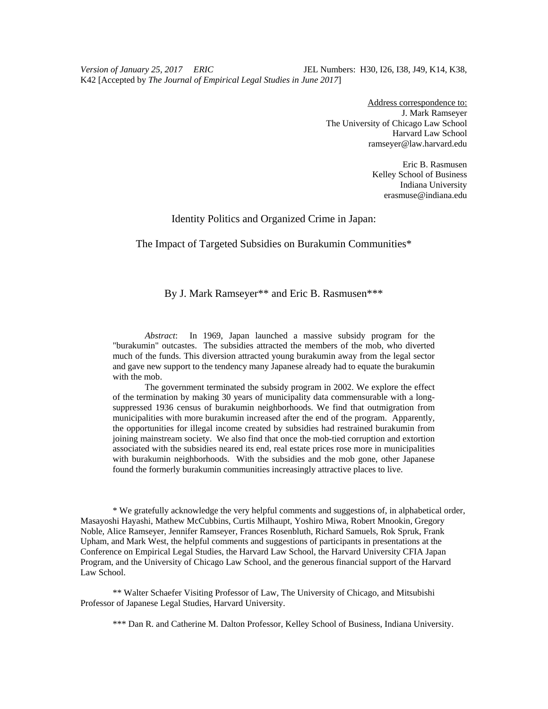*Version of January 25, 2017 ERIC* JEL Numbers: H30, I26, I38, J49, K14, K38, K42 [Accepted by *The Journal of Empirical Legal Studies in June 2017*]

> Address correspondence to: J. Mark Ramseyer The University of Chicago Law School Harvard Law School ramseyer@law.harvard.edu

> > Eric B. Rasmusen Kelley School of Business Indiana University erasmuse@indiana.edu

#### Identity Politics and Organized Crime in Japan:

#### The Impact of Targeted Subsidies on Burakumin Communities\*

#### By J. Mark Ramseyer\*\* and Eric B. Rasmusen\*\*\*

*Abstract*: In 1969, Japan launched a massive subsidy program for the "burakumin" outcastes. The subsidies attracted the members of the mob, who diverted much of the funds. This diversion attracted young burakumin away from the legal sector and gave new support to the tendency many Japanese already had to equate the burakumin with the mob.

The government terminated the subsidy program in 2002. We explore the effect of the termination by making 30 years of municipality data commensurable with a longsuppressed 1936 census of burakumin neighborhoods. We find that outmigration from municipalities with more burakumin increased after the end of the program. Apparently, the opportunities for illegal income created by subsidies had restrained burakumin from joining mainstream society. We also find that once the mob-tied corruption and extortion associated with the subsidies neared its end, real estate prices rose more in municipalities with burakumin neighborhoods. With the subsidies and the mob gone, other Japanese found the formerly burakumin communities increasingly attractive places to live.

\* We gratefully acknowledge the very helpful comments and suggestions of, in alphabetical order, Masayoshi Hayashi, Mathew McCubbins, Curtis Milhaupt, Yoshiro Miwa, Robert Mnookin, Gregory Noble, Alice Ramseyer, Jennifer Ramseyer, Frances Rosenbluth, Richard Samuels, Rok Spruk, Frank Upham, and Mark West, the helpful comments and suggestions of participants in presentations at the Conference on Empirical Legal Studies, the Harvard Law School, the Harvard University CFIA Japan Program, and the University of Chicago Law School, and the generous financial support of the Harvard Law School.

\*\* Walter Schaefer Visiting Professor of Law, The University of Chicago, and Mitsubishi Professor of Japanese Legal Studies, Harvard University.

\*\*\* Dan R. and Catherine M. Dalton Professor, Kelley School of Business, Indiana University.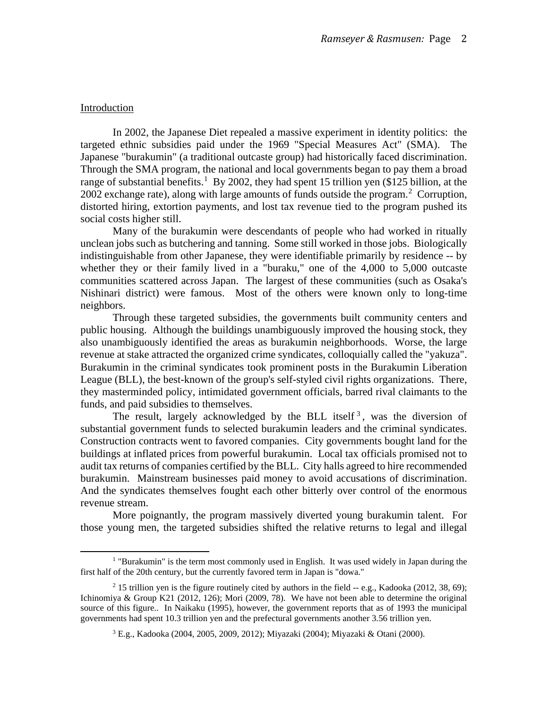#### Introduction

In 2002, the Japanese Diet repealed a massive experiment in identity politics: the targeted ethnic subsidies paid under the 1969 "Special Measures Act" (SMA). The Japanese "burakumin" (a traditional outcaste group) had historically faced discrimination. Through the SMA program, the national and local governments began to pay them a broad range of substantial benefits.<sup>[1](#page-1-0)</sup> By 2002, they had spent 15 trillion yen (\$125 billion, at the [2](#page-1-1)002 exchange rate), along with large amounts of funds outside the program.<sup>2</sup> Corruption, distorted hiring, extortion payments, and lost tax revenue tied to the program pushed its social costs higher still.

Many of the burakumin were descendants of people who had worked in ritually unclean jobs such as butchering and tanning. Some still worked in those jobs. Biologically indistinguishable from other Japanese, they were identifiable primarily by residence -- by whether they or their family lived in a "buraku," one of the 4,000 to 5,000 outcaste communities scattered across Japan. The largest of these communities (such as Osaka's Nishinari district) were famous. Most of the others were known only to long-time neighbors.

Through these targeted subsidies, the governments built community centers and public housing. Although the buildings unambiguously improved the housing stock, they also unambiguously identified the areas as burakumin neighborhoods. Worse, the large revenue at stake attracted the organized crime syndicates, colloquially called the "yakuza". Burakumin in the criminal syndicates took prominent posts in the Burakumin Liberation League (BLL), the best-known of the group's self-styled civil rights organizations. There, they masterminded policy, intimidated government officials, barred rival claimants to the funds, and paid subsidies to themselves.

The result, largely acknowledged by the BLL itself<sup>[3](#page-1-2)</sup>, was the diversion of substantial government funds to selected burakumin leaders and the criminal syndicates. Construction contracts went to favored companies. City governments bought land for the buildings at inflated prices from powerful burakumin. Local tax officials promised not to audit tax returns of companies certified by the BLL. City halls agreed to hire recommended burakumin. Mainstream businesses paid money to avoid accusations of discrimination. And the syndicates themselves fought each other bitterly over control of the enormous revenue stream.

More poignantly, the program massively diverted young burakumin talent. For those young men, the targeted subsidies shifted the relative returns to legal and illegal

<span id="page-1-0"></span><sup>&</sup>lt;sup>1</sup> "Burakumin" is the term most commonly used in English. It was used widely in Japan during the first half of the 20th century, but the currently favored term in Japan is "dowa."

<span id="page-1-2"></span><span id="page-1-1"></span><sup>&</sup>lt;sup>2</sup> 15 trillion yen is the figure routinely cited by authors in the field  $-$  e.g., Kadooka (2012, 38, 69); Ichinomiya & Group K21 (2012, 126); Mori (2009, 78). We have not been able to determine the original source of this figure.. In Naikaku (1995), however, the government reports that as of 1993 the municipal governments had spent 10.3 trillion yen and the prefectural governments another 3.56 trillion yen.

<sup>3</sup> E.g., Kadooka (2004, 2005, 2009, 2012); Miyazaki (2004); Miyazaki & Otani (2000).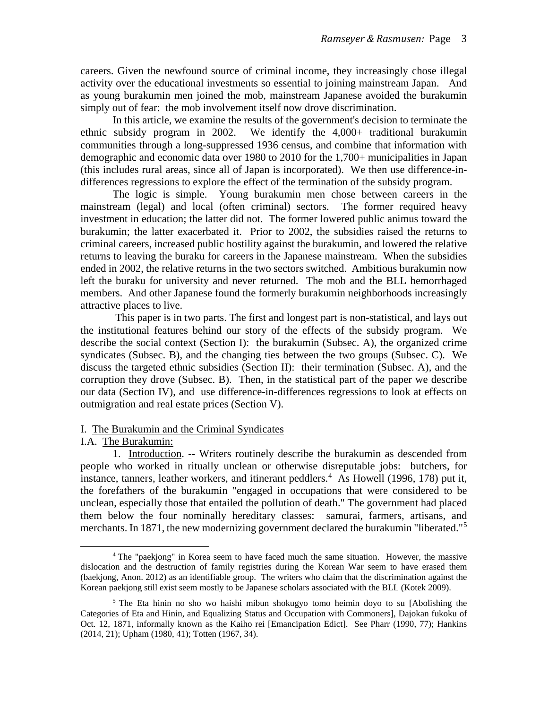careers. Given the newfound source of criminal income, they increasingly chose illegal activity over the educational investments so essential to joining mainstream Japan. And as young burakumin men joined the mob, mainstream Japanese avoided the burakumin simply out of fear: the mob involvement itself now drove discrimination.

In this article, we examine the results of the government's decision to terminate the ethnic subsidy program in 2002. We identify the 4,000+ traditional burakumin communities through a long-suppressed 1936 census, and combine that information with demographic and economic data over 1980 to 2010 for the 1,700+ municipalities in Japan (this includes rural areas, since all of Japan is incorporated). We then use difference-indifferences regressions to explore the effect of the termination of the subsidy program.

The logic is simple. Young burakumin men chose between careers in the mainstream (legal) and local (often criminal) sectors. The former required heavy investment in education; the latter did not. The former lowered public animus toward the burakumin; the latter exacerbated it. Prior to 2002, the subsidies raised the returns to criminal careers, increased public hostility against the burakumin, and lowered the relative returns to leaving the buraku for careers in the Japanese mainstream. When the subsidies ended in 2002, the relative returns in the two sectors switched. Ambitious burakumin now left the buraku for university and never returned. The mob and the BLL hemorrhaged members. And other Japanese found the formerly burakumin neighborhoods increasingly attractive places to live.

This paper is in two parts. The first and longest part is non-statistical, and lays out the institutional features behind our story of the effects of the subsidy program. We describe the social context (Section I): the burakumin (Subsec. A), the organized crime syndicates (Subsec. B), and the changing ties between the two groups (Subsec. C). We discuss the targeted ethnic subsidies (Section II): their termination (Subsec. A), and the corruption they drove (Subsec. B). Then, in the statistical part of the paper we describe our data (Section IV), and use difference-in-differences regressions to look at effects on outmigration and real estate prices (Section V).

#### I. The Burakumin and the Criminal Syndicates

#### I.A. The Burakumin:

1. Introduction. -- Writers routinely describe the burakumin as descended from people who worked in ritually unclean or otherwise disreputable jobs: butchers, for instance, tanners, leather workers, and itinerant peddlers.<sup>[4](#page-2-0)</sup> As Howell (1996, 178) put it, the forefathers of the burakumin "engaged in occupations that were considered to be unclean, especially those that entailed the pollution of death." The government had placed them below the four nominally hereditary classes: samurai, farmers, artisans, and merchants. In 1871, the new modernizing government declared the burakumin "liberated."<sup>[5](#page-2-1)</sup>

<span id="page-2-0"></span><sup>4</sup> The "paekjong" in Korea seem to have faced much the same situation. However, the massive dislocation and the destruction of family registries during the Korean War seem to have erased them (baekjong, Anon. 2012) as an identifiable group. The writers who claim that the discrimination against the Korean paekjong still exist seem mostly to be Japanese scholars associated with the BLL (Kotek 2009).

<span id="page-2-1"></span><sup>&</sup>lt;sup>5</sup> The Eta hinin no sho wo haishi mibun shokugyo tomo heimin doyo to su [Abolishing the Categories of Eta and Hinin, and Equalizing Status and Occupation with Commoners], Dajokan fukoku of Oct. 12, 1871, informally known as the Kaiho rei [Emancipation Edict]. See Pharr (1990, 77); Hankins (2014, 21); Upham (1980, 41); Totten (1967, 34).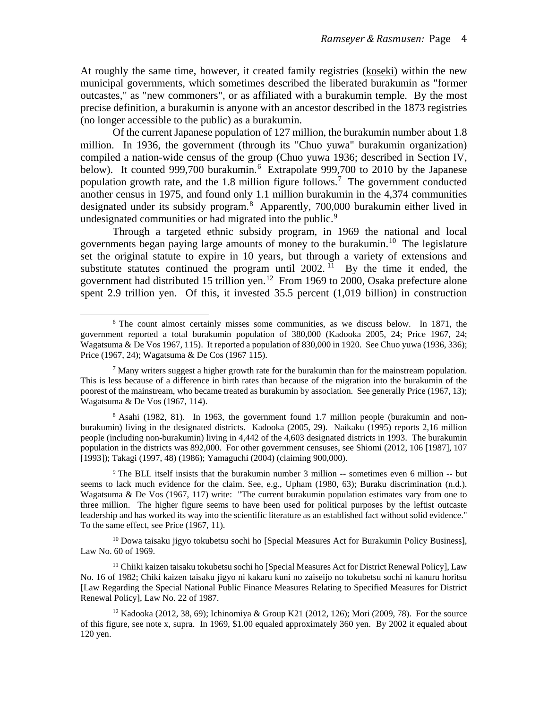At roughly the same time, however, it created family registries (koseki) within the new municipal governments, which sometimes described the liberated burakumin as "former outcastes," as "new commoners", or as affiliated with a burakumin temple. By the most precise definition, a burakumin is anyone with an ancestor described in the 1873 registries (no longer accessible to the public) as a burakumin.

Of the current Japanese population of 127 million, the burakumin number about 1.8 million. In 1936, the government (through its "Chuo yuwa" burakumin organization) compiled a nation-wide census of the group (Chuo yuwa 1936; described in Section IV, below). It counted 999,700 burakumin.<sup>[6](#page-3-0)</sup> Extrapolate 999,700 to 2010 by the Japanese population growth rate, and the 1.8 million figure follows.<sup>[7](#page-3-1)</sup> The government conducted another census in 1975, and found only 1.1 million burakumin in the 4,374 communities designated under its subsidy program.<sup>[8](#page-3-2)</sup> Apparently, 700,000 burakumin either lived in undesignated communities or had migrated into the public.<sup>[9](#page-3-3)</sup>

Through a targeted ethnic subsidy program, in 1969 the national and local governments began paying large amounts of money to the burakumin.[10](#page-3-4) The legislature set the original statute to expire in 10 years, but through a variety of extensions and substitute statutes continued the program until  $2002$ . <sup>[11](#page-3-5)</sup> By the time it ended, the government had distributed 15 trillion yen.<sup>12</sup> From 1969 to 2000, Osaka prefecture alone spent 2.9 trillion yen. Of this, it invested 35.5 percent (1,019 billion) in construction

<span id="page-3-2"></span><sup>8</sup> Asahi (1982, 81). In 1963, the government found 1.7 million people (burakumin and nonburakumin) living in the designated districts. Kadooka (2005, 29). Naikaku (1995) reports 2,16 million people (including non-burakumin) living in 4,442 of the 4,603 designated districts in 1993. The burakumin population in the districts was 892,000. For other government censuses, see Shiomi (2012, 106 [1987], 107 [1993]); Takagi (1997, 48) (1986); Yamaguchi (2004) (claiming 900,000).

<span id="page-3-3"></span><sup>9</sup> The BLL itself insists that the burakumin number 3 million -- sometimes even 6 million -- but seems to lack much evidence for the claim. See, e.g., Upham (1980, 63); Buraku discrimination (n.d.). Wagatsuma & De Vos (1967, 117) write: "The current burakumin population estimates vary from one to three million. The higher figure seems to have been used for political purposes by the leftist outcaste leadership and has worked its way into the scientific literature as an established fact without solid evidence." To the same effect, see Price (1967, 11).

<span id="page-3-4"></span> $10$  Dowa taisaku jigyo tokubetsu sochi ho [Special Measures Act for Burakumin Policy Business], Law No. 60 of 1969.

<span id="page-3-5"></span> $11$  Chiiki kaizen taisaku tokubetsu sochi ho [Special Measures Act for District Renewal Policy], Law No. 16 of 1982; Chiki kaizen taisaku jigyo ni kakaru kuni no zaiseijo no tokubetsu sochi ni kanuru horitsu [Law Regarding the Special National Public Finance Measures Relating to Specified Measures for District Renewal Policy], Law No. 22 of 1987.

<span id="page-3-0"></span><sup>&</sup>lt;sup>6</sup> The count almost certainly misses some communities, as we discuss below. In 1871, the government reported a total burakumin population of 380,000 (Kadooka 2005, 24; Price 1967, 24; Wagatsuma & De Vos 1967, 115). It reported a population of 830,000 in 1920. See Chuo yuwa (1936, 336); Price (1967, 24); Wagatsuma & De Cos (1967 115).

<span id="page-3-1"></span> $<sup>7</sup>$  Many writers suggest a higher growth rate for the burakumin than for the mainstream population.</sup> This is less because of a difference in birth rates than because of the migration into the burakumin of the poorest of the mainstream, who became treated as burakumin by association. See generally Price (1967, 13); Wagatsuma & De Vos (1967, 114).

<span id="page-3-6"></span> $12$  Kadooka (2012, 38, 69); Ichinomiya & Group K21 (2012, 126); Mori (2009, 78). For the source of this figure, see note x, supra. In 1969, \$1.00 equaled approximately 360 yen. By 2002 it equaled about 120 yen.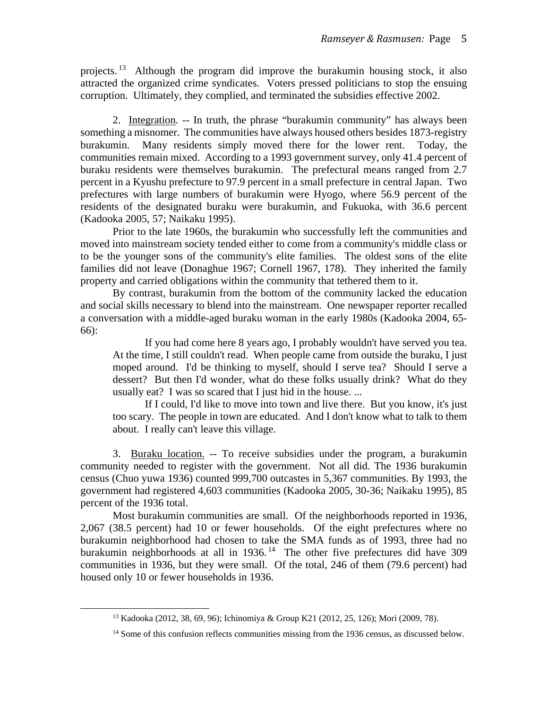projects. <sup>[13](#page-4-0)</sup> Although the program did improve the burakumin housing stock, it also attracted the organized crime syndicates. Voters pressed politicians to stop the ensuing corruption. Ultimately, they complied, and terminated the subsidies effective 2002.

2. Integration. -- In truth, the phrase "burakumin community" has always been something a misnomer. The communities have always housed others besides 1873-registry burakumin. Many residents simply moved there for the lower rent. Today, the communities remain mixed. According to a 1993 government survey, only 41.4 percent of buraku residents were themselves burakumin. The prefectural means ranged from 2.7 percent in a Kyushu prefecture to 97.9 percent in a small prefecture in central Japan. Two prefectures with large numbers of burakumin were Hyogo, where 56.9 percent of the residents of the designated buraku were burakumin, and Fukuoka, with 36.6 percent (Kadooka 2005, 57; Naikaku 1995).

Prior to the late 1960s, the burakumin who successfully left the communities and moved into mainstream society tended either to come from a community's middle class or to be the younger sons of the community's elite families. The oldest sons of the elite families did not leave (Donaghue 1967; Cornell 1967, 178). They inherited the family property and carried obligations within the community that tethered them to it.

By contrast, burakumin from the bottom of the community lacked the education and social skills necessary to blend into the mainstream. One newspaper reporter recalled a conversation with a middle-aged buraku woman in the early 1980s (Kadooka 2004, 65- 66):

If you had come here 8 years ago, I probably wouldn't have served you tea. At the time, I still couldn't read. When people came from outside the buraku, I just moped around. I'd be thinking to myself, should I serve tea? Should I serve a dessert? But then I'd wonder, what do these folks usually drink? What do they usually eat? I was so scared that I just hid in the house. ...

If I could, I'd like to move into town and live there. But you know, it's just too scary. The people in town are educated. And I don't know what to talk to them about. I really can't leave this village.

3. Buraku location. -- To receive subsidies under the program, a burakumin community needed to register with the government. Not all did. The 1936 burakumin census (Chuo yuwa 1936) counted 999,700 outcastes in 5,367 communities. By 1993, the government had registered 4,603 communities (Kadooka 2005, 30-36; Naikaku 1995), 85 percent of the 1936 total.

Most burakumin communities are small. Of the neighborhoods reported in 1936, 2,067 (38.5 percent) had 10 or fewer households. Of the eight prefectures where no burakumin neighborhood had chosen to take the SMA funds as of 1993, three had no burakumin neighborhoods at all in 1936.<sup>[14](#page-4-1)</sup> The other five prefectures did have 309 communities in 1936, but they were small. Of the total, 246 of them (79.6 percent) had housed only 10 or fewer households in 1936.

<span id="page-4-0"></span><sup>13</sup> Kadooka (2012, 38, 69, 96); Ichinomiya & Group K21 (2012, 25, 126); Mori (2009, 78).

<span id="page-4-1"></span><sup>&</sup>lt;sup>14</sup> Some of this confusion reflects communities missing from the 1936 census, as discussed below.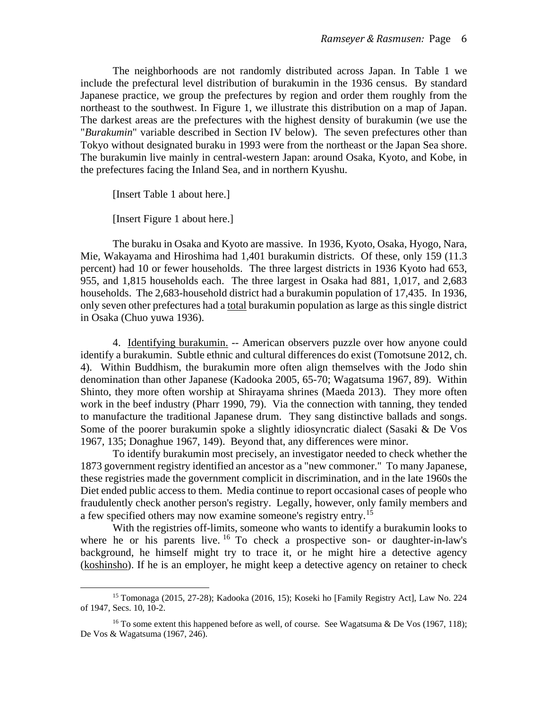The neighborhoods are not randomly distributed across Japan. In Table 1 we include the prefectural level distribution of burakumin in the 1936 census. By standard Japanese practice, we group the prefectures by region and order them roughly from the northeast to the southwest. In Figure 1, we illustrate this distribution on a map of Japan. The darkest areas are the prefectures with the highest density of burakumin (we use the "*Burakumin*" variable described in Section IV below). The seven prefectures other than Tokyo without designated buraku in 1993 were from the northeast or the Japan Sea shore. The burakumin live mainly in central-western Japan: around Osaka, Kyoto, and Kobe, in the prefectures facing the Inland Sea, and in northern Kyushu.

[Insert Table 1 about here.]

[Insert Figure 1 about here.]

The buraku in Osaka and Kyoto are massive. In 1936, Kyoto, Osaka, Hyogo, Nara, Mie, Wakayama and Hiroshima had 1,401 burakumin districts. Of these, only 159 (11.3 percent) had 10 or fewer households. The three largest districts in 1936 Kyoto had 653, 955, and 1,815 households each. The three largest in Osaka had 881, 1,017, and 2,683 households. The 2,683-household district had a burakumin population of 17,435. In 1936, only seven other prefectures had a total burakumin population as large as this single district in Osaka (Chuo yuwa 1936).

4. Identifying burakumin. -- American observers puzzle over how anyone could identify a burakumin. Subtle ethnic and cultural differences do exist (Tomotsune 2012, ch. 4). Within Buddhism, the burakumin more often align themselves with the Jodo shin denomination than other Japanese (Kadooka 2005, 65-70; Wagatsuma 1967, 89). Within Shinto, they more often worship at Shirayama shrines (Maeda 2013). They more often work in the beef industry (Pharr 1990, 79). Via the connection with tanning, they tended to manufacture the traditional Japanese drum. They sang distinctive ballads and songs. Some of the poorer burakumin spoke a slightly idiosyncratic dialect (Sasaki & De Vos 1967, 135; Donaghue 1967, 149). Beyond that, any differences were minor.

To identify burakumin most precisely, an investigator needed to check whether the 1873 government registry identified an ancestor as a "new commoner." To many Japanese, these registries made the government complicit in discrimination, and in the late 1960s the Diet ended public access to them. Media continue to report occasional cases of people who fraudulently check another person's registry. Legally, however, only family members and a few specified others may now examine someone's registry entry.<sup>[15](#page-5-0)</sup>

With the registries off-limits, someone who wants to identify a burakumin looks to where he or his parents live.  $16$  To check a prospective son- or daughter-in-law's background, he himself might try to trace it, or he might hire a detective agency (koshinsho). If he is an employer, he might keep a detective agency on retainer to check

<span id="page-5-0"></span><sup>15</sup> Tomonaga (2015, 27-28); Kadooka (2016, 15); Koseki ho [Family Registry Act], Law No. 224 of 1947, Secs. 10, 10-2.

<span id="page-5-1"></span><sup>&</sup>lt;sup>16</sup> To some extent this happened before as well, of course. See Wagatsuma & De Vos (1967, 118); De Vos & Wagatsuma (1967, 246).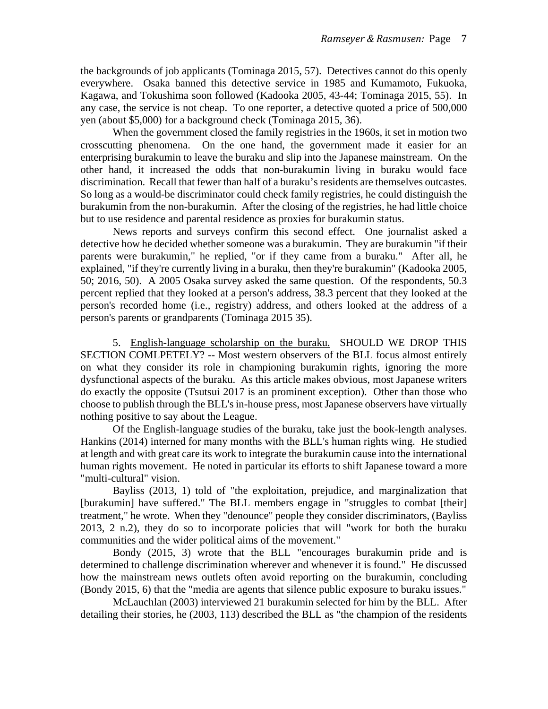the backgrounds of job applicants (Tominaga 2015, 57). Detectives cannot do this openly everywhere. Osaka banned this detective service in 1985 and Kumamoto, Fukuoka, Kagawa, and Tokushima soon followed (Kadooka 2005, 43-44; Tominaga 2015, 55). In any case, the service is not cheap. To one reporter, a detective quoted a price of 500,000 yen (about \$5,000) for a background check (Tominaga 2015, 36).

When the government closed the family registries in the 1960s, it set in motion two crosscutting phenomena. On the one hand, the government made it easier for an enterprising burakumin to leave the buraku and slip into the Japanese mainstream. On the other hand, it increased the odds that non-burakumin living in buraku would face discrimination. Recall that fewer than half of a buraku's residents are themselves outcastes. So long as a would-be discriminator could check family registries, he could distinguish the burakumin from the non-burakumin. After the closing of the registries, he had little choice but to use residence and parental residence as proxies for burakumin status.

News reports and surveys confirm this second effect. One journalist asked a detective how he decided whether someone was a burakumin. They are burakumin "if their parents were burakumin," he replied, "or if they came from a buraku." After all, he explained, "if they're currently living in a buraku, then they're burakumin" (Kadooka 2005, 50; 2016, 50). A 2005 Osaka survey asked the same question. Of the respondents, 50.3 percent replied that they looked at a person's address, 38.3 percent that they looked at the person's recorded home (i.e., registry) address, and others looked at the address of a person's parents or grandparents (Tominaga 2015 35).

5. English-language scholarship on the buraku. SHOULD WE DROP THIS SECTION COMLPETELY? -- Most western observers of the BLL focus almost entirely on what they consider its role in championing burakumin rights, ignoring the more dysfunctional aspects of the buraku. As this article makes obvious, most Japanese writers do exactly the opposite (Tsutsui 2017 is an prominent exception). Other than those who choose to publish through the BLL's in-house press, most Japanese observers have virtually nothing positive to say about the League.

Of the English-language studies of the buraku, take just the book-length analyses. Hankins (2014) interned for many months with the BLL's human rights wing. He studied at length and with great care its work to integrate the burakumin cause into the international human rights movement. He noted in particular its efforts to shift Japanese toward a more "multi-cultural" vision.

Bayliss (2013, 1) told of "the exploitation, prejudice, and marginalization that [burakumin] have suffered." The BLL members engage in "struggles to combat [their] treatment," he wrote. When they "denounce" people they consider discriminators, (Bayliss 2013, 2 n.2), they do so to incorporate policies that will "work for both the buraku communities and the wider political aims of the movement."

Bondy (2015, 3) wrote that the BLL "encourages burakumin pride and is determined to challenge discrimination wherever and whenever it is found." He discussed how the mainstream news outlets often avoid reporting on the burakumin, concluding (Bondy 2015, 6) that the "media are agents that silence public exposure to buraku issues."

McLauchlan (2003) interviewed 21 burakumin selected for him by the BLL. After detailing their stories, he (2003, 113) described the BLL as "the champion of the residents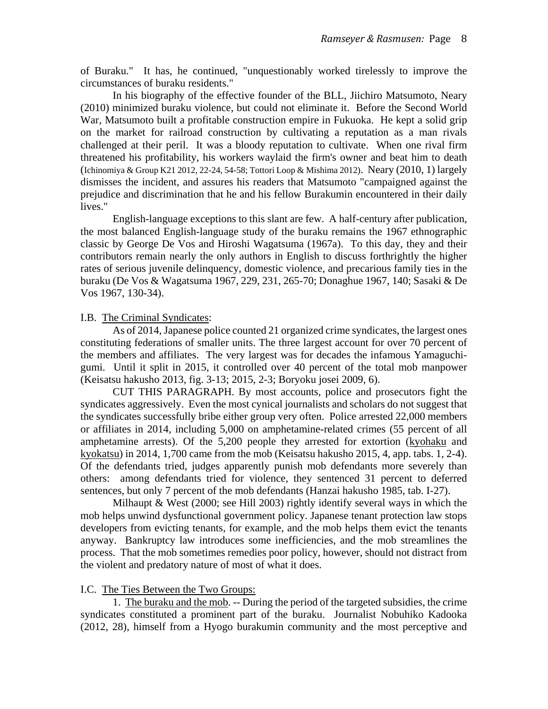of Buraku." It has, he continued, "unquestionably worked tirelessly to improve the circumstances of buraku residents."

In his biography of the effective founder of the BLL, Jiichiro Matsumoto, Neary (2010) minimized buraku violence, but could not eliminate it. Before the Second World War, Matsumoto built a profitable construction empire in Fukuoka. He kept a solid grip on the market for railroad construction by cultivating a reputation as a man rivals challenged at their peril. It was a bloody reputation to cultivate. When one rival firm threatened his profitability, his workers waylaid the firm's owner and beat him to death (Ichinomiya & Group K21 2012, 22-24, 54-58; Tottori Loop & Mishima 2012). Neary (2010, 1) largely dismisses the incident, and assures his readers that Matsumoto "campaigned against the prejudice and discrimination that he and his fellow Burakumin encountered in their daily lives."

English-language exceptions to this slant are few. A half-century after publication, the most balanced English-language study of the buraku remains the 1967 ethnographic classic by George De Vos and Hiroshi Wagatsuma (1967a). To this day, they and their contributors remain nearly the only authors in English to discuss forthrightly the higher rates of serious juvenile delinquency, domestic violence, and precarious family ties in the buraku (De Vos & Wagatsuma 1967, 229, 231, 265-70; Donaghue 1967, 140; Sasaki & De Vos 1967, 130-34).

#### I.B. The Criminal Syndicates:

As of 2014, Japanese police counted 21 organized crime syndicates, the largest ones constituting federations of smaller units. The three largest account for over 70 percent of the members and affiliates. The very largest was for decades the infamous Yamaguchigumi. Until it split in 2015, it controlled over 40 percent of the total mob manpower (Keisatsu hakusho 2013, fig. 3-13; 2015, 2-3; Boryoku josei 2009, 6).

CUT THIS PARAGRAPH. By most accounts, police and prosecutors fight the syndicates aggressively. Even the most cynical journalists and scholars do not suggest that the syndicates successfully bribe either group very often. Police arrested 22,000 members or affiliates in 2014, including 5,000 on amphetamine-related crimes (55 percent of all amphetamine arrests). Of the 5,200 people they arrested for extortion (kyohaku and kyokatsu) in 2014, 1,700 came from the mob (Keisatsu hakusho 2015, 4, app. tabs. 1, 2-4). Of the defendants tried, judges apparently punish mob defendants more severely than others: among defendants tried for violence, they sentenced 31 percent to deferred sentences, but only 7 percent of the mob defendants (Hanzai hakusho 1985, tab. I-27).

Milhaupt & West (2000; see Hill 2003) rightly identify several ways in which the mob helps unwind dysfunctional government policy. Japanese tenant protection law stops developers from evicting tenants, for example, and the mob helps them evict the tenants anyway. Bankruptcy law introduces some inefficiencies, and the mob streamlines the process. That the mob sometimes remedies poor policy, however, should not distract from the violent and predatory nature of most of what it does.

#### I.C. The Ties Between the Two Groups:

1. The buraku and the mob. -- During the period of the targeted subsidies, the crime syndicates constituted a prominent part of the buraku. Journalist Nobuhiko Kadooka (2012, 28), himself from a Hyogo burakumin community and the most perceptive and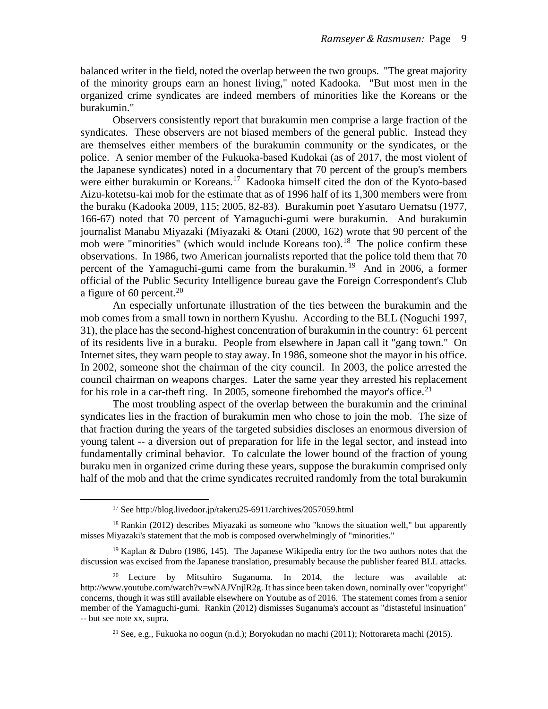balanced writer in the field, noted the overlap between the two groups. "The great majority of the minority groups earn an honest living," noted Kadooka. "But most men in the organized crime syndicates are indeed members of minorities like the Koreans or the burakumin."

Observers consistently report that burakumin men comprise a large fraction of the syndicates. These observers are not biased members of the general public. Instead they are themselves either members of the burakumin community or the syndicates, or the police. A senior member of the Fukuoka-based Kudokai (as of 2017, the most violent of the Japanese syndicates) noted in a documentary that 70 percent of the group's members were either burakumin or Koreans.<sup>17</sup> Kadooka himself cited the don of the Kyoto-based Aizu-kotetsu-kai mob for the estimate that as of 1996 half of its 1,300 members were from the buraku (Kadooka 2009, 115; 2005, 82-83). Burakumin poet Yasutaro Uematsu (1977, 166-67) noted that 70 percent of Yamaguchi-gumi were burakumin. And burakumin journalist Manabu Miyazaki (Miyazaki & Otani (2000, 162) wrote that 90 percent of the mob were "minorities" (which would include Koreans too).<sup>[18](#page-8-1)</sup> The police confirm these observations. In 1986, two American journalists reported that the police told them that 70 percent of the Yamaguchi-gumi came from the burakumin. [19](#page-8-2) And in 2006, a former official of the Public Security Intelligence bureau gave the Foreign Correspondent's Club a figure of 60 percent.<sup>20</sup>

An especially unfortunate illustration of the ties between the burakumin and the mob comes from a small town in northern Kyushu. According to the BLL (Noguchi 1997, 31), the place has the second-highest concentration of burakumin in the country: 61 percent of its residents live in a buraku. People from elsewhere in Japan call it "gang town." On Internet sites, they warn people to stay away. In 1986, someone shot the mayor in his office. In 2002, someone shot the chairman of the city council. In 2003, the police arrested the council chairman on weapons charges. Later the same year they arrested his replacement for his role in a car-theft ring. In 2005, someone firebombed the mayor's office.<sup>[21](#page-8-4)</sup>

The most troubling aspect of the overlap between the burakumin and the criminal syndicates lies in the fraction of burakumin men who chose to join the mob. The size of that fraction during the years of the targeted subsidies discloses an enormous diversion of young talent -- a diversion out of preparation for life in the legal sector, and instead into fundamentally criminal behavior. To calculate the lower bound of the fraction of young buraku men in organized crime during these years, suppose the burakumin comprised only half of the mob and that the crime syndicates recruited randomly from the total burakumin

<sup>17</sup> See http://blog.livedoor.jp/takeru25-6911/archives/2057059.html

<span id="page-8-1"></span><span id="page-8-0"></span> $18$  Rankin (2012) describes Miyazaki as someone who "knows the situation well," but apparently misses Miyazaki's statement that the mob is composed overwhelmingly of "minorities."

<span id="page-8-2"></span><sup>&</sup>lt;sup>19</sup> Kaplan & Dubro (1986, 145). The Japanese Wikipedia entry for the two authors notes that the discussion was excised from the Japanese translation, presumably because the publisher feared BLL attacks.

<span id="page-8-4"></span><span id="page-8-3"></span><sup>&</sup>lt;sup>20</sup> Lecture by Mitsuhiro Suganuma. In 2014, the lecture was available at: http://www.youtube.com/watch?v=wNAJVnjlR2g. It has since been taken down, nominally over "copyright" concerns, though it was still available elsewhere on Youtube as of 2016. The statement comes from a senior member of the Yamaguchi-gumi. Rankin (2012) dismisses Suganuma's account as "distasteful insinuation" -- but see note xx, supra.

<sup>&</sup>lt;sup>21</sup> See, e.g., Fukuoka no oogun (n.d.); Boryokudan no machi (2011); Nottorareta machi (2015).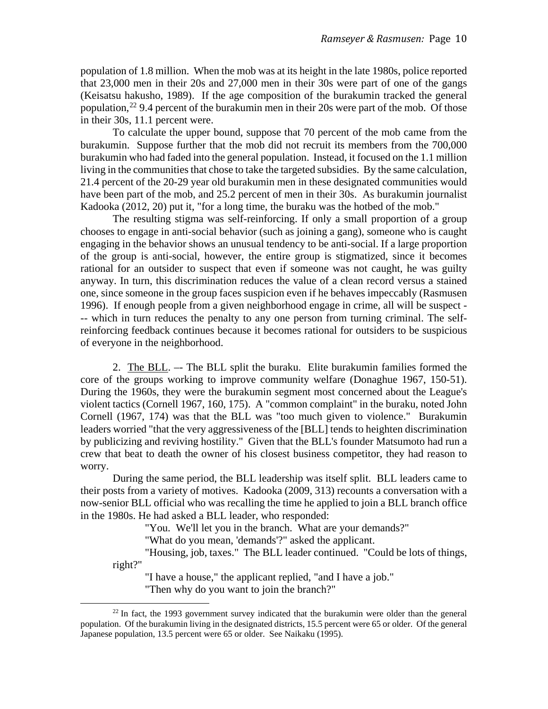population of 1.8 million. When the mob was at its height in the late 1980s, police reported that 23,000 men in their 20s and 27,000 men in their 30s were part of one of the gangs (Keisatsu hakusho, 1989). If the age composition of the burakumin tracked the general population,<sup>[22](#page-9-0)</sup> 9.4 percent of the burakumin men in their 20s were part of the mob. Of those in their 30s, 11.1 percent were.

To calculate the upper bound, suppose that 70 percent of the mob came from the burakumin. Suppose further that the mob did not recruit its members from the 700,000 burakumin who had faded into the general population. Instead, it focused on the 1.1 million living in the communities that chose to take the targeted subsidies. By the same calculation, 21.4 percent of the 20-29 year old burakumin men in these designated communities would have been part of the mob, and 25.2 percent of men in their 30s. As burakumin journalist Kadooka (2012, 20) put it, "for a long time, the buraku was the hotbed of the mob."

The resulting stigma was self-reinforcing. If only a small proportion of a group chooses to engage in anti-social behavior (such as joining a gang), someone who is caught engaging in the behavior shows an unusual tendency to be anti-social. If a large proportion of the group is anti-social, however, the entire group is stigmatized, since it becomes rational for an outsider to suspect that even if someone was not caught, he was guilty anyway. In turn, this discrimination reduces the value of a clean record versus a stained one, since someone in the group faces suspicion even if he behaves impeccably (Rasmusen 1996). If enough people from a given neighborhood engage in crime, all will be suspect - -- which in turn reduces the penalty to any one person from turning criminal. The selfreinforcing feedback continues because it becomes rational for outsiders to be suspicious of everyone in the neighborhood.

2. The BLL. –- The BLL split the buraku. Elite burakumin families formed the core of the groups working to improve community welfare (Donaghue 1967, 150-51). During the 1960s, they were the burakumin segment most concerned about the League's violent tactics (Cornell 1967, 160, 175). A "common complaint" in the buraku, noted John Cornell (1967, 174) was that the BLL was "too much given to violence." Burakumin leaders worried "that the very aggressiveness of the [BLL] tends to heighten discrimination by publicizing and reviving hostility." Given that the BLL's founder Matsumoto had run a crew that beat to death the owner of his closest business competitor, they had reason to worry.

During the same period, the BLL leadership was itself split. BLL leaders came to their posts from a variety of motives. Kadooka (2009, 313) recounts a conversation with a now-senior BLL official who was recalling the time he applied to join a BLL branch office in the 1980s. He had asked a BLL leader, who responded:

"You. We'll let you in the branch. What are your demands?"

"What do you mean, 'demands'?" asked the applicant.

"Housing, job, taxes." The BLL leader continued. "Could be lots of things, right?"

"I have a house," the applicant replied, "and I have a job." "Then why do you want to join the branch?"

<span id="page-9-0"></span> $22$  In fact, the 1993 government survey indicated that the burakumin were older than the general population. Of the burakumin living in the designated districts, 15.5 percent were 65 or older. Of the general Japanese population, 13.5 percent were 65 or older. See Naikaku (1995).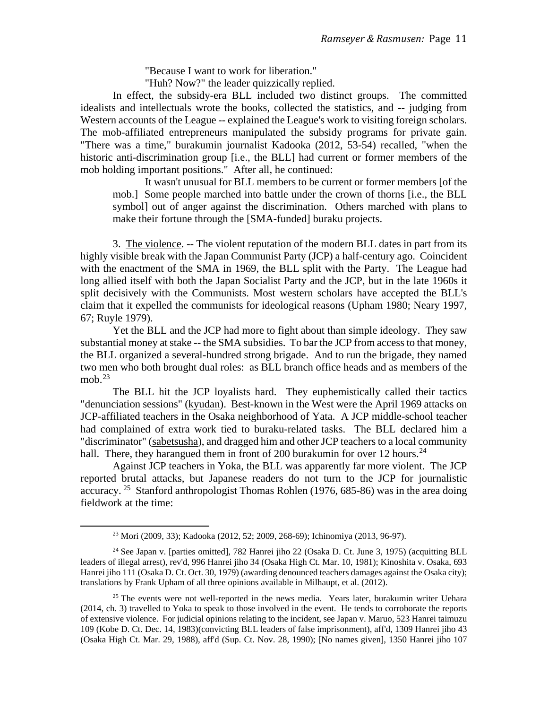"Because I want to work for liberation."

"Huh? Now?" the leader quizzically replied.

In effect, the subsidy-era BLL included two distinct groups. The committed idealists and intellectuals wrote the books, collected the statistics, and -- judging from Western accounts of the League -- explained the League's work to visiting foreign scholars. The mob-affiliated entrepreneurs manipulated the subsidy programs for private gain. "There was a time," burakumin journalist Kadooka (2012, 53-54) recalled, "when the historic anti-discrimination group [i.e., the BLL] had current or former members of the mob holding important positions." After all, he continued:

It wasn't unusual for BLL members to be current or former members [of the mob.] Some people marched into battle under the crown of thorns [i.e., the BLL symbol] out of anger against the discrimination. Others marched with plans to make their fortune through the [SMA-funded] buraku projects.

3. The violence. -- The violent reputation of the modern BLL dates in part from its highly visible break with the Japan Communist Party (JCP) a half-century ago. Coincident with the enactment of the SMA in 1969, the BLL split with the Party. The League had long allied itself with both the Japan Socialist Party and the JCP, but in the late 1960s it split decisively with the Communists. Most western scholars have accepted the BLL's claim that it expelled the communists for ideological reasons (Upham 1980; Neary 1997, 67; Ruyle 1979).

Yet the BLL and the JCP had more to fight about than simple ideology. They saw substantial money at stake -- the SMA subsidies. To bar the JCP from access to that money, the BLL organized a several-hundred strong brigade. And to run the brigade, they named two men who both brought dual roles: as BLL branch office heads and as members of the mob. $^{23}$ 

The BLL hit the JCP loyalists hard. They euphemistically called their tactics "denunciation sessions" (kyudan). Best-known in the West were the April 1969 attacks on JCP-affiliated teachers in the Osaka neighborhood of Yata. A JCP middle-school teacher had complained of extra work tied to buraku-related tasks. The BLL declared him a "discriminator" (sabetsusha), and dragged him and other JCP teachers to a local community hall. There, they harangued them in front of 200 burakumin for over 12 hours.<sup>24</sup>

Against JCP teachers in Yoka, the BLL was apparently far more violent. The JCP reported brutal attacks, but Japanese readers do not turn to the JCP for journalistic accuracy. <sup>25</sup> Stanford anthropologist Thomas Rohlen (1976, 685-86) was in the area doing fieldwork at the time:

<sup>23</sup> Mori (2009, 33); Kadooka (2012, 52; 2009, 268-69); Ichinomiya (2013, 96-97).

<span id="page-10-1"></span><span id="page-10-0"></span><sup>24</sup> See Japan v. [parties omitted], 782 Hanrei jiho 22 (Osaka D. Ct. June 3, 1975) (acquitting BLL leaders of illegal arrest), rev'd, 996 Hanrei jiho 34 (Osaka High Ct. Mar. 10, 1981); Kinoshita v. Osaka, 693 Hanrei jiho 111 (Osaka D. Ct. Oct. 30, 1979) (awarding denounced teachers damages against the Osaka city); translations by Frank Upham of all three opinions available in Milhaupt, et al. (2012).

<span id="page-10-2"></span> $25$  The events were not well-reported in the news media. Years later, burakumin writer Uehara (2014, ch. 3) travelled to Yoka to speak to those involved in the event. He tends to corroborate the reports of extensive violence. For judicial opinions relating to the incident, see Japan v. Maruo, 523 Hanrei taimuzu 109 (Kobe D. Ct. Dec. 14, 1983)(convicting BLL leaders of false imprisonment), aff'd, 1309 Hanrei jiho 43 (Osaka High Ct. Mar. 29, 1988), aff'd (Sup. Ct. Nov. 28, 1990); [No names given], 1350 Hanrei jiho 107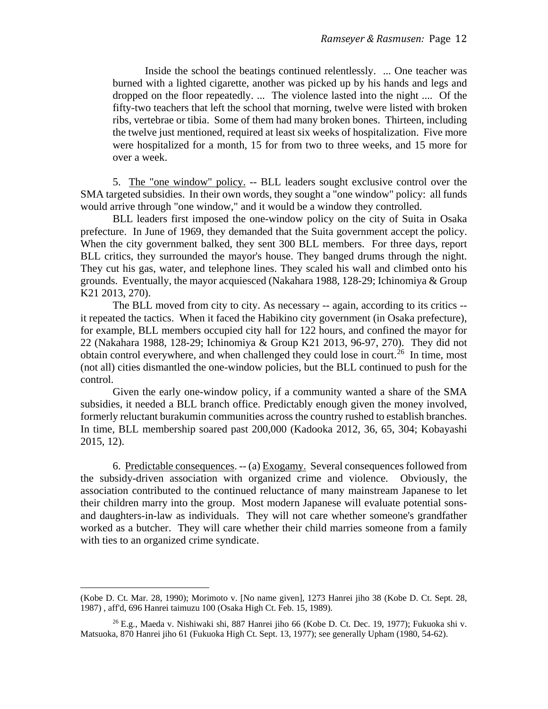Inside the school the beatings continued relentlessly. ... One teacher was burned with a lighted cigarette, another was picked up by his hands and legs and dropped on the floor repeatedly. ... The violence lasted into the night .... Of the fifty-two teachers that left the school that morning, twelve were listed with broken ribs, vertebrae or tibia. Some of them had many broken bones. Thirteen, including the twelve just mentioned, required at least six weeks of hospitalization. Five more were hospitalized for a month, 15 for from two to three weeks, and 15 more for over a week.

5. The "one window" policy. -- BLL leaders sought exclusive control over the SMA targeted subsidies. In their own words, they sought a "one window" policy: all funds would arrive through "one window," and it would be a window they controlled.

BLL leaders first imposed the one-window policy on the city of Suita in Osaka prefecture. In June of 1969, they demanded that the Suita government accept the policy. When the city government balked, they sent 300 BLL members. For three days, report BLL critics, they surrounded the mayor's house. They banged drums through the night. They cut his gas, water, and telephone lines. They scaled his wall and climbed onto his grounds. Eventually, the mayor acquiesced (Nakahara 1988, 128-29; Ichinomiya & Group K21 2013, 270).

The BLL moved from city to city. As necessary -- again, according to its critics - it repeated the tactics. When it faced the Habikino city government (in Osaka prefecture), for example, BLL members occupied city hall for 122 hours, and confined the mayor for 22 (Nakahara 1988, 128-29; Ichinomiya & Group K21 2013, 96-97, 270). They did not obtain control everywhere, and when challenged they could lose in court.<sup>26</sup> In time, most (not all) cities dismantled the one-window policies, but the BLL continued to push for the control.

Given the early one-window policy, if a community wanted a share of the SMA subsidies, it needed a BLL branch office. Predictably enough given the money involved, formerly reluctant burakumin communities across the country rushed to establish branches. In time, BLL membership soared past 200,000 (Kadooka 2012, 36, 65, 304; Kobayashi 2015, 12).

6. Predictable consequences. -- (a) Exogamy. Several consequences followed from the subsidy-driven association with organized crime and violence. Obviously, the association contributed to the continued reluctance of many mainstream Japanese to let their children marry into the group. Most modern Japanese will evaluate potential sonsand daughters-in-law as individuals. They will not care whether someone's grandfather worked as a butcher. They will care whether their child marries someone from a family with ties to an organized crime syndicate.

(Kobe D. Ct. Mar. 28, 1990); Morimoto v. [No name given], 1273 Hanrei jiho 38 (Kobe D. Ct. Sept. 28, 1987) , aff'd, 696 Hanrei taimuzu 100 (Osaka High Ct. Feb. 15, 1989).

<span id="page-11-0"></span><sup>26</sup> E.g., Maeda v. Nishiwaki shi, 887 Hanrei jiho 66 (Kobe D. Ct. Dec. 19, 1977); Fukuoka shi v. Matsuoka, 870 Hanrei jiho 61 (Fukuoka High Ct. Sept. 13, 1977); see generally Upham (1980, 54-62).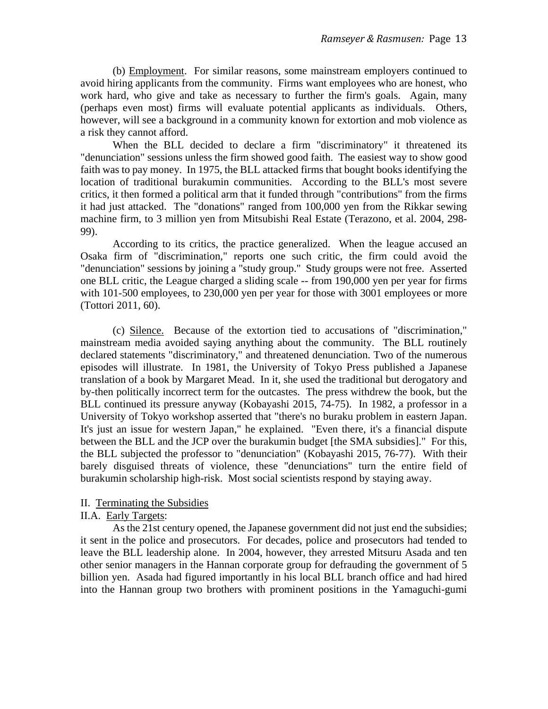(b) Employment. For similar reasons, some mainstream employers continued to avoid hiring applicants from the community. Firms want employees who are honest, who work hard, who give and take as necessary to further the firm's goals. Again, many (perhaps even most) firms will evaluate potential applicants as individuals. Others, however, will see a background in a community known for extortion and mob violence as a risk they cannot afford.

When the BLL decided to declare a firm "discriminatory" it threatened its "denunciation" sessions unless the firm showed good faith. The easiest way to show good faith was to pay money. In 1975, the BLL attacked firms that bought books identifying the location of traditional burakumin communities. According to the BLL's most severe critics, it then formed a political arm that it funded through "contributions" from the firms it had just attacked. The "donations" ranged from 100,000 yen from the Rikkar sewing machine firm, to 3 million yen from Mitsubishi Real Estate (Terazono, et al. 2004, 298- 99).

According to its critics, the practice generalized. When the league accused an Osaka firm of "discrimination," reports one such critic, the firm could avoid the "denunciation" sessions by joining a "study group." Study groups were not free. Asserted one BLL critic, the League charged a sliding scale -- from 190,000 yen per year for firms with 101-500 employees, to 230,000 yen per year for those with 3001 employees or more (Tottori 2011, 60).

(c) Silence. Because of the extortion tied to accusations of "discrimination," mainstream media avoided saying anything about the community. The BLL routinely declared statements "discriminatory," and threatened denunciation. Two of the numerous episodes will illustrate. In 1981, the University of Tokyo Press published a Japanese translation of a book by Margaret Mead. In it, she used the traditional but derogatory and by-then politically incorrect term for the outcastes. The press withdrew the book, but the BLL continued its pressure anyway (Kobayashi 2015, 74-75). In 1982, a professor in a University of Tokyo workshop asserted that "there's no buraku problem in eastern Japan. It's just an issue for western Japan," he explained. "Even there, it's a financial dispute between the BLL and the JCP over the burakumin budget [the SMA subsidies]." For this, the BLL subjected the professor to "denunciation" (Kobayashi 2015, 76-77). With their barely disguised threats of violence, these "denunciations" turn the entire field of burakumin scholarship high-risk. Most social scientists respond by staying away.

### II. Terminating the Subsidies

### II.A. Early Targets:

As the 21st century opened, the Japanese government did not just end the subsidies; it sent in the police and prosecutors. For decades, police and prosecutors had tended to leave the BLL leadership alone. In 2004, however, they arrested Mitsuru Asada and ten other senior managers in the Hannan corporate group for defrauding the government of 5 billion yen. Asada had figured importantly in his local BLL branch office and had hired into the Hannan group two brothers with prominent positions in the Yamaguchi-gumi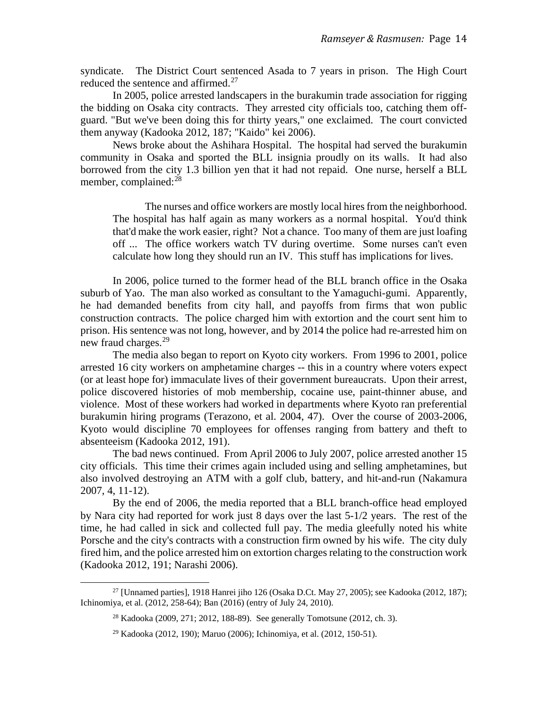syndicate. The District Court sentenced Asada to 7 years in prison. The High Court reduced the sentence and affirmed.<sup>[27](#page-13-0)</sup>

In 2005, police arrested landscapers in the burakumin trade association for rigging the bidding on Osaka city contracts. They arrested city officials too, catching them offguard. "But we've been doing this for thirty years," one exclaimed. The court convicted them anyway (Kadooka 2012, 187; "Kaido" kei 2006).

News broke about the Ashihara Hospital. The hospital had served the burakumin community in Osaka and sported the BLL insignia proudly on its walls. It had also borrowed from the city 1.3 billion yen that it had not repaid. One nurse, herself a BLL member, complained:<sup>[28](#page-13-1)</sup>

The nurses and office workers are mostly local hires from the neighborhood. The hospital has half again as many workers as a normal hospital. You'd think that'd make the work easier, right? Not a chance. Too many of them are just loafing off ... The office workers watch TV during overtime. Some nurses can't even calculate how long they should run an IV. This stuff has implications for lives.

In 2006, police turned to the former head of the BLL branch office in the Osaka suburb of Yao. The man also worked as consultant to the Yamaguchi-gumi. Apparently, he had demanded benefits from city hall, and payoffs from firms that won public construction contracts. The police charged him with extortion and the court sent him to prison. His sentence was not long, however, and by 2014 the police had re-arrested him on new fraud charges.<sup>[29](#page-13-2)</sup>

The media also began to report on Kyoto city workers. From 1996 to 2001, police arrested 16 city workers on amphetamine charges -- this in a country where voters expect (or at least hope for) immaculate lives of their government bureaucrats. Upon their arrest, police discovered histories of mob membership, cocaine use, paint-thinner abuse, and violence. Most of these workers had worked in departments where Kyoto ran preferential burakumin hiring programs (Terazono, et al. 2004, 47). Over the course of 2003-2006, Kyoto would discipline 70 employees for offenses ranging from battery and theft to absenteeism (Kadooka 2012, 191).

The bad news continued. From April 2006 to July 2007, police arrested another 15 city officials. This time their crimes again included using and selling amphetamines, but also involved destroying an ATM with a golf club, battery, and hit-and-run (Nakamura 2007, 4, 11-12).

By the end of 2006, the media reported that a BLL branch-office head employed by Nara city had reported for work just 8 days over the last 5-1/2 years. The rest of the time, he had called in sick and collected full pay. The media gleefully noted his white Porsche and the city's contracts with a construction firm owned by his wife. The city duly fired him, and the police arrested him on extortion charges relating to the construction work (Kadooka 2012, 191; Narashi 2006).

<span id="page-13-2"></span><span id="page-13-1"></span><span id="page-13-0"></span><sup>&</sup>lt;sup>27</sup> [Unnamed parties], 1918 Hanrei jiho 126 (Osaka D.Ct. May 27, 2005); see Kadooka (2012, 187); Ichinomiya, et al. (2012, 258-64); Ban (2016) (entry of July 24, 2010).

<sup>28</sup> Kadooka (2009, 271; 2012, 188-89). See generally Tomotsune (2012, ch. 3).

<sup>29</sup> Kadooka (2012, 190); Maruo (2006); Ichinomiya, et al. (2012, 150-51).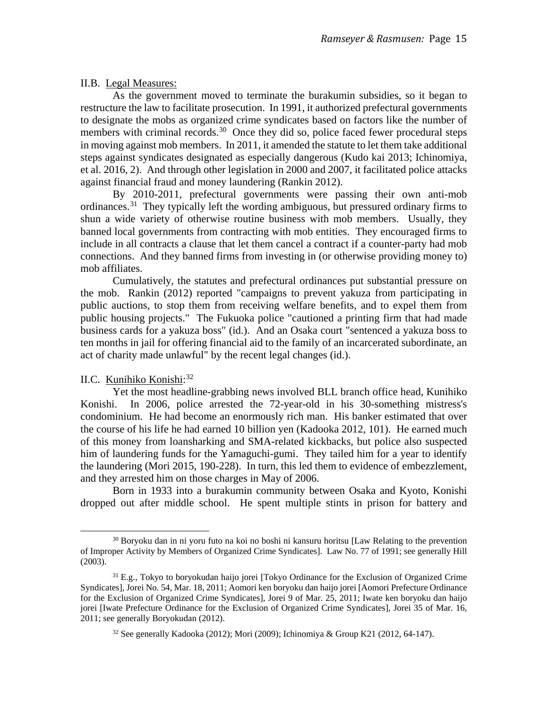### II.B. Legal Measures:

As the government moved to terminate the burakumin subsidies, so it began to restructure the law to facilitate prosecution. In 1991, it authorized prefectural governments to designate the mobs as organized crime syndicates based on factors like the number of members with criminal records.<sup>[30](#page-14-0)</sup> Once they did so, police faced fewer procedural steps in moving against mob members. In 2011, it amended the statute to let them take additional steps against syndicates designated as especially dangerous (Kudo kai 2013; Ichinomiya, et al. 2016, 2). And through other legislation in 2000 and 2007, it facilitated police attacks against financial fraud and money laundering (Rankin 2012).

By 2010-2011, prefectural governments were passing their own anti-mob ordinances.<sup>31</sup> They typically left the wording ambiguous, but pressured ordinary firms to shun a wide variety of otherwise routine business with mob members. Usually, they banned local governments from contracting with mob entities. They encouraged firms to include in all contracts a clause that let them cancel a contract if a counter-party had mob connections. And they banned firms from investing in (or otherwise providing money to) mob affiliates.

Cumulatively, the statutes and prefectural ordinances put substantial pressure on the mob. Rankin (2012) reported "campaigns to prevent yakuza from participating in public auctions, to stop them from receiving welfare benefits, and to expel them from public housing projects." The Fukuoka police "cautioned a printing firm that had made business cards for a yakuza boss" (id.). And an Osaka court "sentenced a yakuza boss to ten months in jail for offering financial aid to the family of an incarcerated subordinate, an act of charity made unlawful" by the recent legal changes (id.).

## II.C. Kunihiko Konishi:<sup>[32](#page-14-2)</sup>

Yet the most headline-grabbing news involved BLL branch office head, Kunihiko Konishi. In 2006, police arrested the 72-year-old in his 30-something mistress's condominium. He had become an enormously rich man. His banker estimated that over the course of his life he had earned 10 billion yen (Kadooka 2012, 101). He earned much of this money from loansharking and SMA-related kickbacks, but police also suspected him of laundering funds for the Yamaguchi-gumi. They tailed him for a year to identify the laundering (Mori 2015, 190-228). In turn, this led them to evidence of embezzlement, and they arrested him on those charges in May of 2006.

Born in 1933 into a burakumin community between Osaka and Kyoto, Konishi dropped out after middle school. He spent multiple stints in prison for battery and

<span id="page-14-0"></span><sup>&</sup>lt;sup>30</sup> Boryoku dan in ni yoru futo na koi no boshi ni kansuru horitsu [Law Relating to the prevention of Improper Activity by Members of Organized Crime Syndicates]. Law No. 77 of 1991; see generally Hill (2003).

<span id="page-14-2"></span><span id="page-14-1"></span><sup>&</sup>lt;sup>31</sup> E.g., Tokyo to boryokudan haijo jorei [Tokyo Ordinance for the Exclusion of Organized Crime Syndicates], Jorei No. 54, Mar. 18, 2011; Aomori ken boryoku dan haijo jorei [Aomori Prefecture Ordinance for the Exclusion of Organized Crime Syndicates], Jorei 9 of Mar. 25, 2011; Iwate ken boryoku dan haijo jorei [Iwate Prefecture Ordinance for the Exclusion of Organized Crime Syndicates], Jorei 35 of Mar. 16, 2011; see generally Boryokudan (2012).

 $32$  See generally Kadooka (2012); Mori (2009); Ichinomiya & Group K21 (2012, 64-147).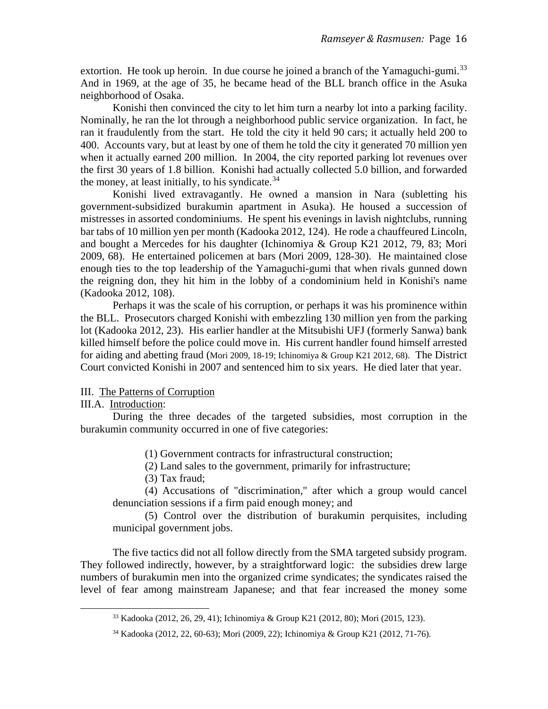extortion. He took up heroin. In due course he joined a branch of the Yamaguchi-gumi.<sup>[33](#page-15-0)</sup> And in 1969, at the age of 35, he became head of the BLL branch office in the Asuka neighborhood of Osaka.

Konishi then convinced the city to let him turn a nearby lot into a parking facility. Nominally, he ran the lot through a neighborhood public service organization. In fact, he ran it fraudulently from the start. He told the city it held 90 cars; it actually held 200 to 400. Accounts vary, but at least by one of them he told the city it generated 70 million yen when it actually earned 200 million. In 2004, the city reported parking lot revenues over the first 30 years of 1.8 billion. Konishi had actually collected 5.0 billion, and forwarded the money, at least initially, to his syndicate.  $34$ 

Konishi lived extravagantly. He owned a mansion in Nara (subletting his government-subsidized burakumin apartment in Asuka). He housed a succession of mistresses in assorted condominiums. He spent his evenings in lavish nightclubs, running bar tabs of 10 million yen per month (Kadooka 2012, 124). He rode a chauffeured Lincoln, and bought a Mercedes for his daughter (Ichinomiya & Group K21 2012, 79, 83; Mori 2009, 68). He entertained policemen at bars (Mori 2009, 128-30). He maintained close enough ties to the top leadership of the Yamaguchi-gumi that when rivals gunned down the reigning don, they hit him in the lobby of a condominium held in Konishi's name (Kadooka 2012, 108).

Perhaps it was the scale of his corruption, or perhaps it was his prominence within the BLL. Prosecutors charged Konishi with embezzling 130 million yen from the parking lot (Kadooka 2012, 23). His earlier handler at the Mitsubishi UFJ (formerly Sanwa) bank killed himself before the police could move in. His current handler found himself arrested for aiding and abetting fraud (Mori 2009, 18-19; Ichinomiya & Group K21 2012, 68). The District Court convicted Konishi in 2007 and sentenced him to six years. He died later that year.

### III. The Patterns of Corruption

### III.A. Introduction:

During the three decades of the targeted subsidies, most corruption in the burakumin community occurred in one of five categories:

(1) Government contracts for infrastructural construction;

- (2) Land sales to the government, primarily for infrastructure;
- (3) Tax fraud;

(4) Accusations of "discrimination," after which a group would cancel denunciation sessions if a firm paid enough money; and

(5) Control over the distribution of burakumin perquisites, including municipal government jobs.

<span id="page-15-0"></span>The five tactics did not all follow directly from the SMA targeted subsidy program. They followed indirectly, however, by a straightforward logic: the subsidies drew large numbers of burakumin men into the organized crime syndicates; the syndicates raised the level of fear among mainstream Japanese; and that fear increased the money some

<sup>33</sup> Kadooka (2012, 26, 29, 41); Ichinomiya & Group K21 (2012, 80); Mori (2015, 123).

<span id="page-15-1"></span><sup>34</sup> Kadooka (2012, 22, 60-63); Mori (2009, 22); Ichinomiya & Group K21 (2012, 71-76).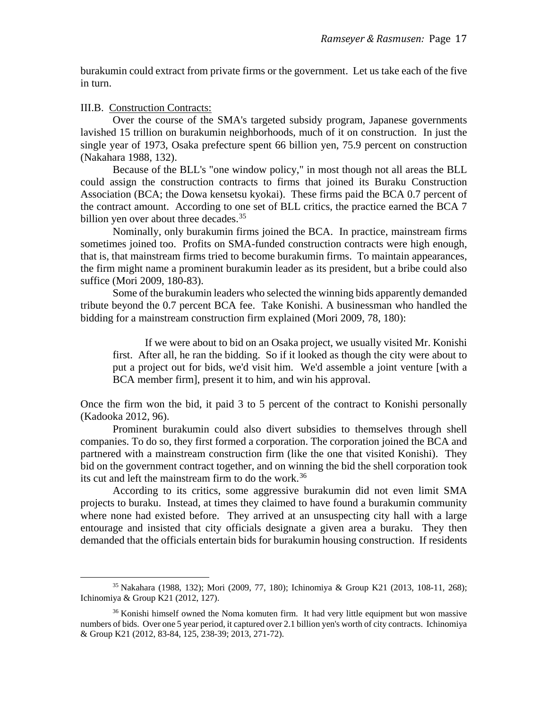burakumin could extract from private firms or the government. Let us take each of the five in turn.

III.B. Construction Contracts:

Over the course of the SMA's targeted subsidy program, Japanese governments lavished 15 trillion on burakumin neighborhoods, much of it on construction. In just the single year of 1973, Osaka prefecture spent 66 billion yen, 75.9 percent on construction (Nakahara 1988, 132).

Because of the BLL's "one window policy," in most though not all areas the BLL could assign the construction contracts to firms that joined its Buraku Construction Association (BCA; the Dowa kensetsu kyokai). These firms paid the BCA 0.7 percent of the contract amount. According to one set of BLL critics, the practice earned the BCA 7 billion yen over about three decades.<sup>[35](#page-16-0)</sup>

Nominally, only burakumin firms joined the BCA. In practice, mainstream firms sometimes joined too. Profits on SMA-funded construction contracts were high enough, that is, that mainstream firms tried to become burakumin firms. To maintain appearances, the firm might name a prominent burakumin leader as its president, but a bribe could also suffice (Mori 2009, 180-83).

Some of the burakumin leaders who selected the winning bids apparently demanded tribute beyond the 0.7 percent BCA fee. Take Konishi. A businessman who handled the bidding for a mainstream construction firm explained (Mori 2009, 78, 180):

If we were about to bid on an Osaka project, we usually visited Mr. Konishi first. After all, he ran the bidding. So if it looked as though the city were about to put a project out for bids, we'd visit him. We'd assemble a joint venture [with a BCA member firm], present it to him, and win his approval.

Once the firm won the bid, it paid 3 to 5 percent of the contract to Konishi personally (Kadooka 2012, 96).

Prominent burakumin could also divert subsidies to themselves through shell companies. To do so, they first formed a corporation. The corporation joined the BCA and partnered with a mainstream construction firm (like the one that visited Konishi). They bid on the government contract together, and on winning the bid the shell corporation took its cut and left the mainstream firm to do the work.<sup>36</sup>

According to its critics, some aggressive burakumin did not even limit SMA projects to buraku. Instead, at times they claimed to have found a burakumin community where none had existed before. They arrived at an unsuspecting city hall with a large entourage and insisted that city officials designate a given area a buraku. They then demanded that the officials entertain bids for burakumin housing construction. If residents

<span id="page-16-0"></span><sup>35</sup> Nakahara (1988, 132); Mori (2009, 77, 180); Ichinomiya & Group K21 (2013, 108-11, 268); Ichinomiya & Group K21 (2012, 127).

<span id="page-16-1"></span><sup>&</sup>lt;sup>36</sup> Konishi himself owned the Noma komuten firm. It had very little equipment but won massive numbers of bids. Over one 5 year period, it captured over 2.1 billion yen's worth of city contracts. Ichinomiya & Group K21 (2012, 83-84, 125, 238-39; 2013, 271-72).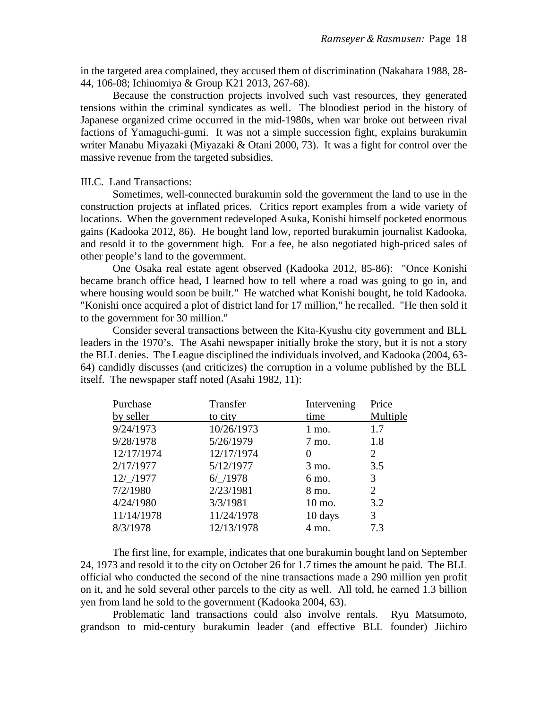in the targeted area complained, they accused them of discrimination (Nakahara 1988, 28- 44, 106-08; Ichinomiya & Group K21 2013, 267-68).

Because the construction projects involved such vast resources, they generated tensions within the criminal syndicates as well. The bloodiest period in the history of Japanese organized crime occurred in the mid-1980s, when war broke out between rival factions of Yamaguchi-gumi. It was not a simple succession fight, explains burakumin writer Manabu Miyazaki (Miyazaki & Otani 2000, 73). It was a fight for control over the massive revenue from the targeted subsidies.

#### III.C. Land Transactions:

Sometimes, well-connected burakumin sold the government the land to use in the construction projects at inflated prices. Critics report examples from a wide variety of locations. When the government redeveloped Asuka, Konishi himself pocketed enormous gains (Kadooka 2012, 86). He bought land low, reported burakumin journalist Kadooka, and resold it to the government high. For a fee, he also negotiated high-priced sales of other people's land to the government.

One Osaka real estate agent observed (Kadooka 2012, 85-86): "Once Konishi became branch office head, I learned how to tell where a road was going to go in, and where housing would soon be built." He watched what Konishi bought, he told Kadooka. "Konishi once acquired a plot of district land for 17 million," he recalled. "He then sold it to the government for 30 million."

Consider several transactions between the Kita-Kyushu city government and BLL leaders in the 1970's. The Asahi newspaper initially broke the story, but it is not a story the BLL denies. The League disciplined the individuals involved, and Kadooka (2004, 63- 64) candidly discusses (and criticizes) the corruption in a volume published by the BLL itself. The newspaper staff noted (Asahi 1982, 11):

| Purchase   | Transfer   | Intervening | Price          |
|------------|------------|-------------|----------------|
| by seller  | to city    | time        | Multiple       |
| 9/24/1973  | 10/26/1973 | $1$ mo.     | 1.7            |
| 9/28/1978  | 5/26/1979  | 7 mo.       | 1.8            |
| 12/17/1974 | 12/17/1974 |             | 2              |
| 2/17/1977  | 5/12/1977  | 3 mo.       | 3.5            |
| 12/ /1977  | $6/$ /1978 | 6 mo.       | 3              |
| 7/2/1980   | 2/23/1981  | 8 mo.       | $\overline{2}$ |
| 4/24/1980  | 3/3/1981   | 10 mo.      | 3.2            |
| 11/14/1978 | 11/24/1978 | 10 days     | 3              |
| 8/3/1978   | 12/13/1978 | 4 mo.       | 7.3            |

The first line, for example, indicates that one burakumin bought land on September 24, 1973 and resold it to the city on October 26 for 1.7 times the amount he paid. The BLL official who conducted the second of the nine transactions made a 290 million yen profit on it, and he sold several other parcels to the city as well. All told, he earned 1.3 billion yen from land he sold to the government (Kadooka 2004, 63).

Problematic land transactions could also involve rentals. Ryu Matsumoto, grandson to mid-century burakumin leader (and effective BLL founder) Jiichiro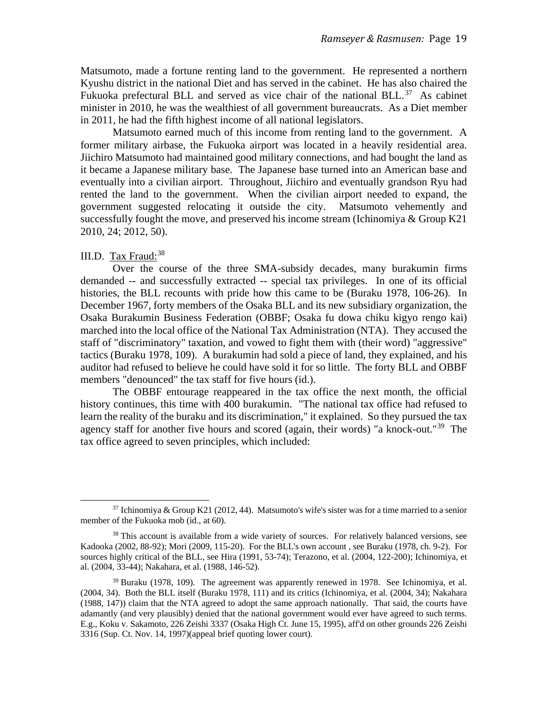Matsumoto, made a fortune renting land to the government. He represented a northern Kyushu district in the national Diet and has served in the cabinet. He has also chaired the Fukuoka prefectural BLL and served as vice chair of the national BLL. $37$  As cabinet minister in 2010, he was the wealthiest of all government bureaucrats. As a Diet member in 2011, he had the fifth highest income of all national legislators.

Matsumoto earned much of this income from renting land to the government. A former military airbase, the Fukuoka airport was located in a heavily residential area. Jiichiro Matsumoto had maintained good military connections, and had bought the land as it became a Japanese military base. The Japanese base turned into an American base and eventually into a civilian airport. Throughout, Jiichiro and eventually grandson Ryu had rented the land to the government. When the civilian airport needed to expand, the government suggested relocating it outside the city. Matsumoto vehemently and successfully fought the move, and preserved his income stream (Ichinomiya  $& Group K21$ 2010, 24; 2012, 50).

### III.D. Tax Fraud:<sup>[38](#page-18-1)</sup>

Over the course of the three SMA-subsidy decades, many burakumin firms demanded -- and successfully extracted -- special tax privileges. In one of its official histories, the BLL recounts with pride how this came to be (Buraku 1978, 106-26). In December 1967, forty members of the Osaka BLL and its new subsidiary organization, the Osaka Burakumin Business Federation (OBBF; Osaka fu dowa chiku kigyo rengo kai) marched into the local office of the National Tax Administration (NTA). They accused the staff of "discriminatory" taxation, and vowed to fight them with (their word) "aggressive" tactics (Buraku 1978, 109). A burakumin had sold a piece of land, they explained, and his auditor had refused to believe he could have sold it for so little. The forty BLL and OBBF members "denounced" the tax staff for five hours (id.).

The OBBF entourage reappeared in the tax office the next month, the official history continues, this time with 400 burakumin. "The national tax office had refused to learn the reality of the buraku and its discrimination," it explained. So they pursued the tax agency staff for another five hours and scored (again, their words) "a knock-out."<sup>39</sup> The tax office agreed to seven principles, which included:

<span id="page-18-0"></span> $37$  Ichinomiya & Group K21 (2012, 44). Matsumoto's wife's sister was for a time married to a senior member of the Fukuoka mob (id., at 60).

<span id="page-18-1"></span><sup>&</sup>lt;sup>38</sup> This account is available from a wide variety of sources. For relatively balanced versions, see Kadooka (2002, 88-92); Mori (2009, 115-20). For the BLL's own account , see Buraku (1978, ch. 9-2). For sources highly critical of the BLL, see Hira (1991, 53-74); Terazono, et al. (2004, 122-200); Ichinomiya, et al. (2004, 33-44); Nakahara, et al. (1988, 146-52).

<span id="page-18-2"></span> $39$  Buraku (1978, 109). The agreement was apparently renewed in 1978. See Ichinomiya, et al. (2004, 34). Both the BLL itself (Buraku 1978, 111) and its critics (Ichinomiya, et al. (2004, 34); Nakahara (1988, 147)) claim that the NTA agreed to adopt the same approach nationally. That said, the courts have adamantly (and very plausibly) denied that the national government would ever have agreed to such terms. E.g., Koku v. Sakamoto, 226 Zeishi 3337 (Osaka High Ct. June 15, 1995), aff'd on other grounds 226 Zeishi 3316 (Sup. Ct. Nov. 14, 1997)(appeal brief quoting lower court).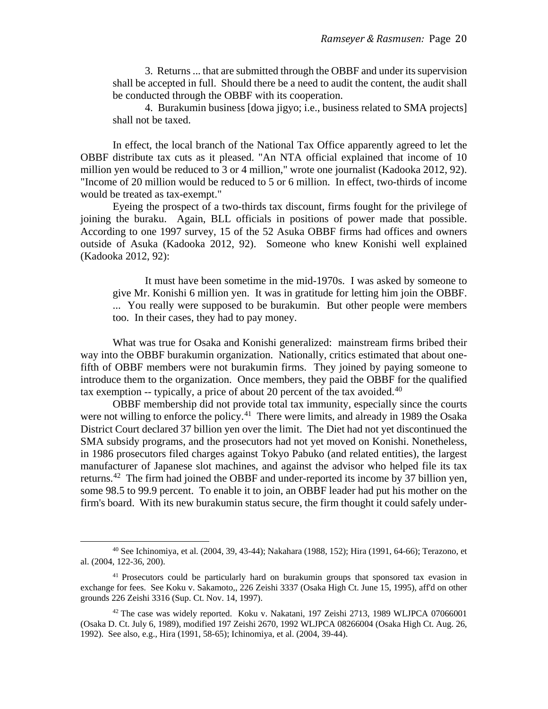3. Returns ... that are submitted through the OBBF and under its supervision shall be accepted in full. Should there be a need to audit the content, the audit shall be conducted through the OBBF with its cooperation.

4. Burakumin business [dowa jigyo; i.e., business related to SMA projects] shall not be taxed.

In effect, the local branch of the National Tax Office apparently agreed to let the OBBF distribute tax cuts as it pleased. "An NTA official explained that income of 10 million yen would be reduced to 3 or 4 million," wrote one journalist (Kadooka 2012, 92). "Income of 20 million would be reduced to 5 or 6 million. In effect, two-thirds of income would be treated as tax-exempt."

Eyeing the prospect of a two-thirds tax discount, firms fought for the privilege of joining the buraku. Again, BLL officials in positions of power made that possible. According to one 1997 survey, 15 of the 52 Asuka OBBF firms had offices and owners outside of Asuka (Kadooka 2012, 92). Someone who knew Konishi well explained (Kadooka 2012, 92):

It must have been sometime in the mid-1970s. I was asked by someone to give Mr. Konishi 6 million yen. It was in gratitude for letting him join the OBBF. ... You really were supposed to be burakumin. But other people were members too. In their cases, they had to pay money.

What was true for Osaka and Konishi generalized: mainstream firms bribed their way into the OBBF burakumin organization. Nationally, critics estimated that about onefifth of OBBF members were not burakumin firms. They joined by paying someone to introduce them to the organization. Once members, they paid the OBBF for the qualified tax exemption -- typically, a price of about 20 percent of the tax avoided.<sup>[40](#page-19-0)</sup>

OBBF membership did not provide total tax immunity, especially since the courts were not willing to enforce the policy.<sup>[41](#page-19-1)</sup> There were limits, and already in 1989 the Osaka District Court declared 37 billion yen over the limit. The Diet had not yet discontinued the SMA subsidy programs, and the prosecutors had not yet moved on Konishi. Nonetheless, in 1986 prosecutors filed charges against Tokyo Pabuko (and related entities), the largest manufacturer of Japanese slot machines, and against the advisor who helped file its tax returns.<sup>42</sup> The firm had joined the OBBF and under-reported its income by 37 billion yen, some 98.5 to 99.9 percent. To enable it to join, an OBBF leader had put his mother on the firm's board. With its new burakumin status secure, the firm thought it could safely under-

<span id="page-19-0"></span><sup>40</sup> See Ichinomiya, et al. (2004, 39, 43-44); Nakahara (1988, 152); Hira (1991, 64-66); Terazono, et al. (2004, 122-36, 200).

<span id="page-19-1"></span><sup>&</sup>lt;sup>41</sup> Prosecutors could be particularly hard on burakumin groups that sponsored tax evasion in exchange for fees. See Koku v. Sakamoto,, 226 Zeishi 3337 (Osaka High Ct. June 15, 1995), aff'd on other grounds 226 Zeishi 3316 (Sup. Ct. Nov. 14, 1997).

<span id="page-19-2"></span><sup>42</sup> The case was widely reported. Koku v. Nakatani, 197 Zeishi 2713, 1989 WLJPCA 07066001 (Osaka D. Ct. July 6, 1989), modified 197 Zeishi 2670, 1992 WLJPCA 08266004 (Osaka High Ct. Aug. 26, 1992). See also, e.g., Hira (1991, 58-65); Ichinomiya, et al. (2004, 39-44).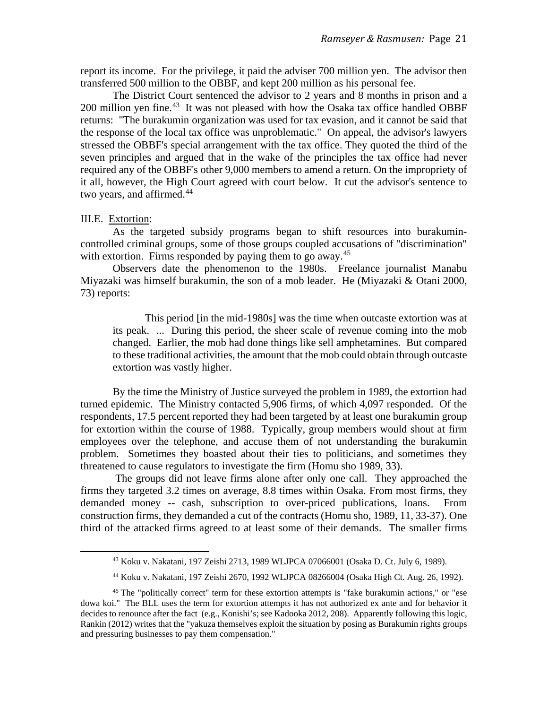report its income. For the privilege, it paid the adviser 700 million yen. The advisor then transferred 500 million to the OBBF, and kept 200 million as his personal fee.

The District Court sentenced the advisor to 2 years and 8 months in prison and a 200 million yen fine.<sup>43</sup> It was not pleased with how the Osaka tax office handled OBBF returns: "The burakumin organization was used for tax evasion, and it cannot be said that the response of the local tax office was unproblematic." On appeal, the advisor's lawyers stressed the OBBF's special arrangement with the tax office. They quoted the third of the seven principles and argued that in the wake of the principles the tax office had never required any of the OBBF's other 9,000 members to amend a return. On the impropriety of it all, however, the High Court agreed with court below. It cut the advisor's sentence to two years, and affirmed.<sup>[44](#page-20-1)</sup>

#### III.E. Extortion:

As the targeted subsidy programs began to shift resources into burakumincontrolled criminal groups, some of those groups coupled accusations of "discrimination" with extortion. Firms responded by paying them to go away.<sup>45</sup>

Observers date the phenomenon to the 1980s. Freelance journalist Manabu Miyazaki was himself burakumin, the son of a mob leader. He (Miyazaki & Otani 2000, 73) reports:

This period [in the mid-1980s] was the time when outcaste extortion was at its peak. ... During this period, the sheer scale of revenue coming into the mob changed. Earlier, the mob had done things like sell amphetamines. But compared to these traditional activities, the amount that the mob could obtain through outcaste extortion was vastly higher.

By the time the Ministry of Justice surveyed the problem in 1989, the extortion had turned epidemic. The Ministry contacted 5,906 firms, of which 4,097 responded. Of the respondents, 17.5 percent reported they had been targeted by at least one burakumin group for extortion within the course of 1988. Typically, group members would shout at firm employees over the telephone, and accuse them of not understanding the burakumin problem. Sometimes they boasted about their ties to politicians, and sometimes they threatened to cause regulators to investigate the firm (Homu sho 1989, 33).

The groups did not leave firms alone after only one call. They approached the firms they targeted 3.2 times on average, 8.8 times within Osaka. From most firms, they demanded money -- cash, subscription to over-priced publications, loans. From construction firms, they demanded a cut of the contracts (Homu sho, 1989, 11, 33-37). One third of the attacked firms agreed to at least some of their demands. The smaller firms

<sup>43</sup> Koku v. Nakatani, 197 Zeishi 2713, 1989 WLJPCA 07066001 (Osaka D. Ct. July 6, 1989).

<sup>44</sup> Koku v. Nakatani, 197 Zeishi 2670, 1992 WLJPCA 08266004 (Osaka High Ct. Aug. 26, 1992).

<span id="page-20-2"></span><span id="page-20-1"></span><span id="page-20-0"></span><sup>45</sup> The "politically correct" term for these extortion attempts is "fake burakumin actions," or "ese dowa koi." The BLL uses the term for extortion attempts it has not authorized ex ante and for behavior it decides to renounce after the fact (e.g., Konishi's; see Kadooka 2012, 208). Apparently following this logic, Rankin (2012) writes that the "yakuza themselves exploit the situation by posing as Burakumin rights groups and pressuring businesses to pay them compensation."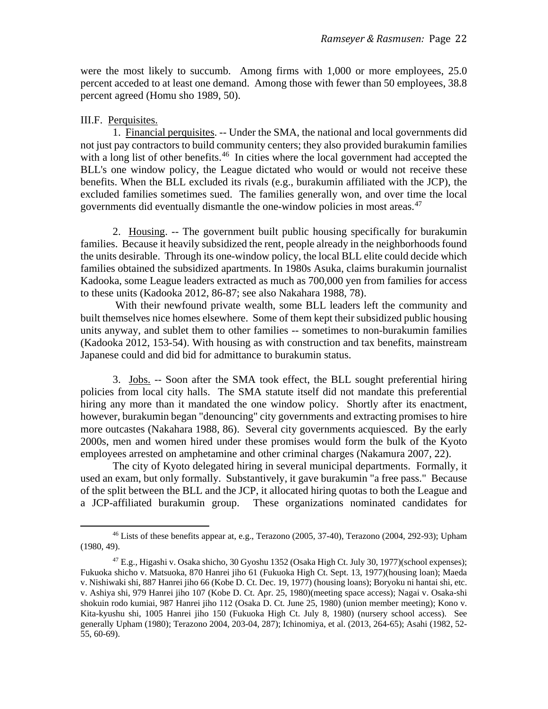were the most likely to succumb. Among firms with 1,000 or more employees, 25.0 percent acceded to at least one demand. Among those with fewer than 50 employees, 38.8 percent agreed (Homu sho 1989, 50).

#### III.F. Perquisites.

1. Financial perquisites. -- Under the SMA, the national and local governments did not just pay contractors to build community centers; they also provided burakumin families with a long list of other benefits.<sup>[46](#page-21-0)</sup> In cities where the local government had accepted the BLL's one window policy, the League dictated who would or would not receive these benefits. When the BLL excluded its rivals (e.g., burakumin affiliated with the JCP), the excluded families sometimes sued. The families generally won, and over time the local governments did eventually dismantle the one-window policies in most areas. [47](#page-21-1)

2. Housing. -- The government built public housing specifically for burakumin families. Because it heavily subsidized the rent, people already in the neighborhoods found the units desirable. Through its one-window policy, the local BLL elite could decide which families obtained the subsidized apartments. In 1980s Asuka, claims burakumin journalist Kadooka, some League leaders extracted as much as 700,000 yen from families for access to these units (Kadooka 2012, 86-87; see also Nakahara 1988, 78).

With their newfound private wealth, some BLL leaders left the community and built themselves nice homes elsewhere. Some of them kept their subsidized public housing units anyway, and sublet them to other families -- sometimes to non-burakumin families (Kadooka 2012, 153-54). With housing as with construction and tax benefits, mainstream Japanese could and did bid for admittance to burakumin status.

3. Jobs. -- Soon after the SMA took effect, the BLL sought preferential hiring policies from local city halls. The SMA statute itself did not mandate this preferential hiring any more than it mandated the one window policy. Shortly after its enactment, however, burakumin began "denouncing" city governments and extracting promises to hire more outcastes (Nakahara 1988, 86). Several city governments acquiesced. By the early 2000s, men and women hired under these promises would form the bulk of the Kyoto employees arrested on amphetamine and other criminal charges (Nakamura 2007, 22).

The city of Kyoto delegated hiring in several municipal departments. Formally, it used an exam, but only formally. Substantively, it gave burakumin "a free pass." Because of the split between the BLL and the JCP, it allocated hiring quotas to both the League and a JCP-affiliated burakumin group. These organizations nominated candidates for

<span id="page-21-0"></span><sup>46</sup> Lists of these benefits appear at, e.g., Terazono (2005, 37-40), Terazono (2004, 292-93); Upham (1980, 49).

<span id="page-21-1"></span><sup>47</sup> E.g., Higashi v. Osaka shicho, 30 Gyoshu 1352 (Osaka High Ct. July 30, 1977)(school expenses); Fukuoka shicho v. Matsuoka, 870 Hanrei jiho 61 (Fukuoka High Ct. Sept. 13, 1977)(housing loan); Maeda v. Nishiwaki shi, 887 Hanrei jiho 66 (Kobe D. Ct. Dec. 19, 1977) (housing loans); Boryoku ni hantai shi, etc. v. Ashiya shi, 979 Hanrei jiho 107 (Kobe D. Ct. Apr. 25, 1980)(meeting space access); Nagai v. Osaka-shi shokuin rodo kumiai, 987 Hanrei jiho 112 (Osaka D. Ct. June 25, 1980) (union member meeting); Kono v. Kita-kyushu shi, 1005 Hanrei jiho 150 (Fukuoka High Ct. July 8, 1980) (nursery school access). See generally Upham (1980); Terazono 2004, 203-04, 287); Ichinomiya, et al. (2013, 264-65); Asahi (1982, 52- 55, 60-69).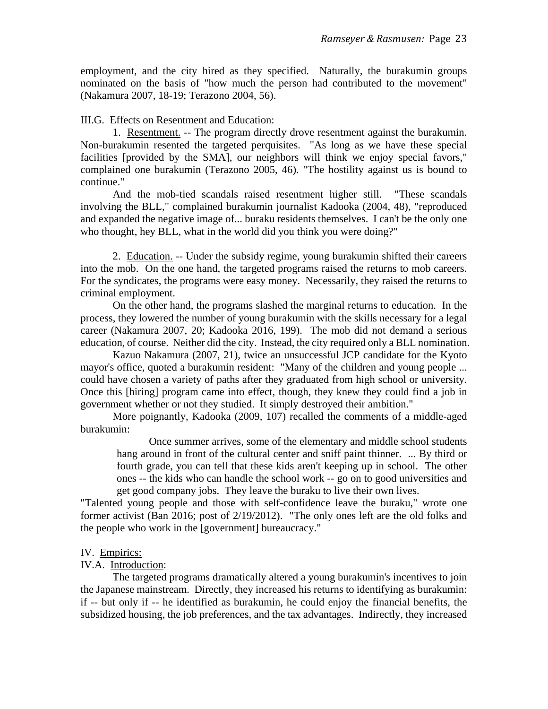employment, and the city hired as they specified. Naturally, the burakumin groups nominated on the basis of "how much the person had contributed to the movement" (Nakamura 2007, 18-19; Terazono 2004, 56).

### III.G. Effects on Resentment and Education:

1. Resentment. -- The program directly drove resentment against the burakumin. Non-burakumin resented the targeted perquisites. "As long as we have these special facilities [provided by the SMA], our neighbors will think we enjoy special favors," complained one burakumin (Terazono 2005, 46). "The hostility against us is bound to continue."

And the mob-tied scandals raised resentment higher still. "These scandals involving the BLL," complained burakumin journalist Kadooka (2004, 48), "reproduced and expanded the negative image of... buraku residents themselves. I can't be the only one who thought, hey BLL, what in the world did you think you were doing?"

2. Education. -- Under the subsidy regime, young burakumin shifted their careers into the mob. On the one hand, the targeted programs raised the returns to mob careers. For the syndicates, the programs were easy money. Necessarily, they raised the returns to criminal employment.

On the other hand, the programs slashed the marginal returns to education. In the process, they lowered the number of young burakumin with the skills necessary for a legal career (Nakamura 2007, 20; Kadooka 2016, 199). The mob did not demand a serious education, of course. Neither did the city. Instead, the city required only a BLL nomination.

Kazuo Nakamura (2007, 21), twice an unsuccessful JCP candidate for the Kyoto mayor's office, quoted a burakumin resident: "Many of the children and young people ... could have chosen a variety of paths after they graduated from high school or university. Once this [hiring] program came into effect, though, they knew they could find a job in government whether or not they studied. It simply destroyed their ambition."

More poignantly, Kadooka (2009, 107) recalled the comments of a middle-aged burakumin:

Once summer arrives, some of the elementary and middle school students hang around in front of the cultural center and sniff paint thinner. ... By third or fourth grade, you can tell that these kids aren't keeping up in school. The other ones -- the kids who can handle the school work -- go on to good universities and get good company jobs. They leave the buraku to live their own lives.

"Talented young people and those with self-confidence leave the buraku," wrote one former activist (Ban 2016; post of 2/19/2012). "The only ones left are the old folks and the people who work in the [government] bureaucracy."

### IV. Empirics:

## IV.A. Introduction:

The targeted programs dramatically altered a young burakumin's incentives to join the Japanese mainstream. Directly, they increased his returns to identifying as burakumin: if -- but only if -- he identified as burakumin, he could enjoy the financial benefits, the subsidized housing, the job preferences, and the tax advantages. Indirectly, they increased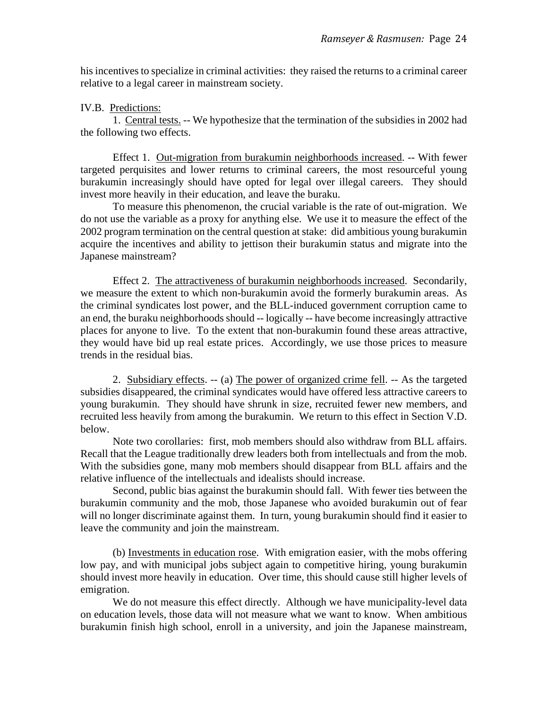his incentives to specialize in criminal activities: they raised the returns to a criminal career relative to a legal career in mainstream society.

IV.B. Predictions:

1. Central tests. -- We hypothesize that the termination of the subsidies in 2002 had the following two effects.

Effect 1. Out-migration from burakumin neighborhoods increased. -- With fewer targeted perquisites and lower returns to criminal careers, the most resourceful young burakumin increasingly should have opted for legal over illegal careers. They should invest more heavily in their education, and leave the buraku.

To measure this phenomenon, the crucial variable is the rate of out-migration. We do not use the variable as a proxy for anything else. We use it to measure the effect of the 2002 program termination on the central question at stake: did ambitious young burakumin acquire the incentives and ability to jettison their burakumin status and migrate into the Japanese mainstream?

Effect 2. The attractiveness of burakumin neighborhoods increased. Secondarily, we measure the extent to which non-burakumin avoid the formerly burakumin areas. As the criminal syndicates lost power, and the BLL-induced government corruption came to an end, the buraku neighborhoods should -- logically -- have become increasingly attractive places for anyone to live. To the extent that non-burakumin found these areas attractive, they would have bid up real estate prices. Accordingly, we use those prices to measure trends in the residual bias.

2. Subsidiary effects. -- (a) The power of organized crime fell. -- As the targeted subsidies disappeared, the criminal syndicates would have offered less attractive careers to young burakumin. They should have shrunk in size, recruited fewer new members, and recruited less heavily from among the burakumin. We return to this effect in Section V.D. below.

Note two corollaries: first, mob members should also withdraw from BLL affairs. Recall that the League traditionally drew leaders both from intellectuals and from the mob. With the subsidies gone, many mob members should disappear from BLL affairs and the relative influence of the intellectuals and idealists should increase.

Second, public bias against the burakumin should fall. With fewer ties between the burakumin community and the mob, those Japanese who avoided burakumin out of fear will no longer discriminate against them. In turn, young burakumin should find it easier to leave the community and join the mainstream.

(b) Investments in education rose. With emigration easier, with the mobs offering low pay, and with municipal jobs subject again to competitive hiring, young burakumin should invest more heavily in education. Over time, this should cause still higher levels of emigration.

We do not measure this effect directly. Although we have municipality-level data on education levels, those data will not measure what we want to know. When ambitious burakumin finish high school, enroll in a university, and join the Japanese mainstream,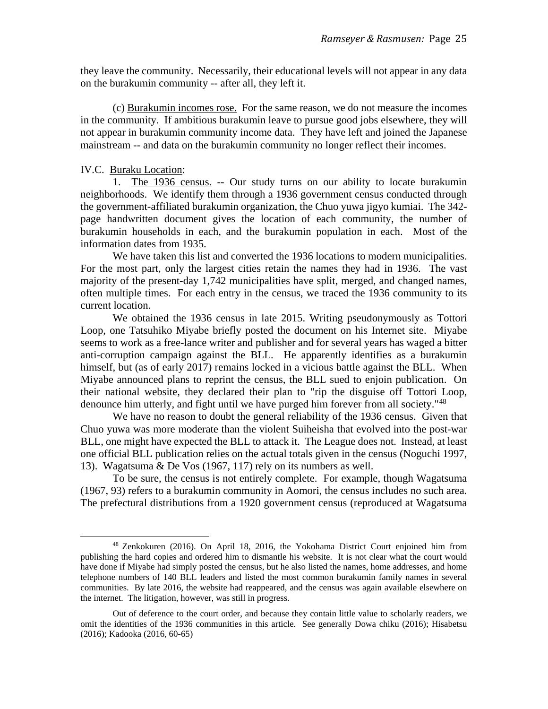they leave the community. Necessarily, their educational levels will not appear in any data on the burakumin community -- after all, they left it.

(c) Burakumin incomes rose. For the same reason, we do not measure the incomes in the community. If ambitious burakumin leave to pursue good jobs elsewhere, they will not appear in burakumin community income data. They have left and joined the Japanese mainstream -- and data on the burakumin community no longer reflect their incomes.

#### IV.C. Buraku Location:

1. The 1936 census. -- Our study turns on our ability to locate burakumin neighborhoods. We identify them through a 1936 government census conducted through the government-affiliated burakumin organization, the Chuo yuwa jigyo kumiai. The 342 page handwritten document gives the location of each community, the number of burakumin households in each, and the burakumin population in each. Most of the information dates from 1935.

We have taken this list and converted the 1936 locations to modern municipalities. For the most part, only the largest cities retain the names they had in 1936. The vast majority of the present-day 1,742 municipalities have split, merged, and changed names, often multiple times. For each entry in the census, we traced the 1936 community to its current location.

We obtained the 1936 census in late 2015. Writing pseudonymously as Tottori Loop, one Tatsuhiko Miyabe briefly posted the document on his Internet site. Miyabe seems to work as a free-lance writer and publisher and for several years has waged a bitter anti-corruption campaign against the BLL. He apparently identifies as a burakumin himself, but (as of early 2017) remains locked in a vicious battle against the BLL. When Miyabe announced plans to reprint the census, the BLL sued to enjoin publication. On their national website, they declared their plan to "rip the disguise off Tottori Loop, denounce him utterly, and fight until we have purged him forever from all society."<sup>[48](#page-24-0)</sup>

We have no reason to doubt the general reliability of the 1936 census. Given that Chuo yuwa was more moderate than the violent Suiheisha that evolved into the post-war BLL, one might have expected the BLL to attack it. The League does not. Instead, at least one official BLL publication relies on the actual totals given in the census (Noguchi 1997, 13). Wagatsuma & De Vos (1967, 117) rely on its numbers as well.

To be sure, the census is not entirely complete. For example, though Wagatsuma (1967, 93) refers to a burakumin community in Aomori, the census includes no such area. The prefectural distributions from a 1920 government census (reproduced at Wagatsuma

<span id="page-24-0"></span><sup>48</sup> Zenkokuren (2016). On April 18, 2016, the Yokohama District Court enjoined him from publishing the hard copies and ordered him to dismantle his website. It is not clear what the court would have done if Miyabe had simply posted the census, but he also listed the names, home addresses, and home telephone numbers of 140 BLL leaders and listed the most common burakumin family names in several communities. By late 2016, the website had reappeared, and the census was again available elsewhere on the internet. The litigation, however, was still in progress.

Out of deference to the court order, and because they contain little value to scholarly readers, we omit the identities of the 1936 communities in this article. See generally Dowa chiku (2016); Hisabetsu (2016); Kadooka (2016, 60-65)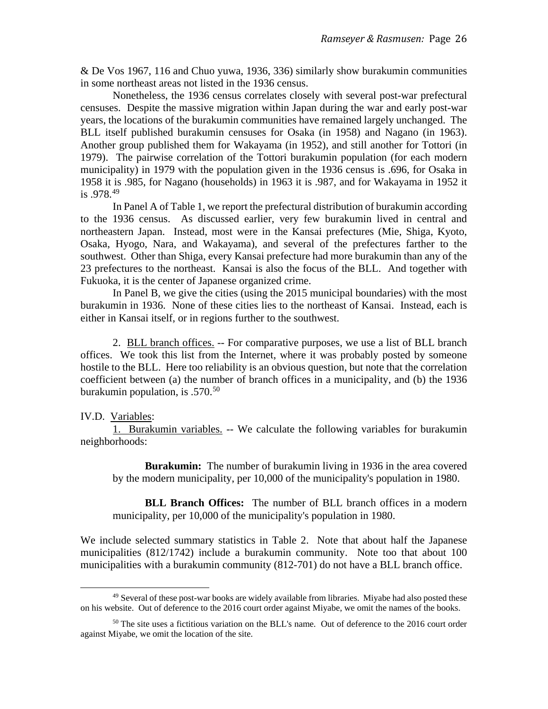& De Vos 1967, 116 and Chuo yuwa, 1936, 336) similarly show burakumin communities in some northeast areas not listed in the 1936 census.

Nonetheless, the 1936 census correlates closely with several post-war prefectural censuses. Despite the massive migration within Japan during the war and early post-war years, the locations of the burakumin communities have remained largely unchanged. The BLL itself published burakumin censuses for Osaka (in 1958) and Nagano (in 1963). Another group published them for Wakayama (in 1952), and still another for Tottori (in 1979). The pairwise correlation of the Tottori burakumin population (for each modern municipality) in 1979 with the population given in the 1936 census is .696, for Osaka in 1958 it is .985, for Nagano (households) in 1963 it is .987, and for Wakayama in 1952 it is .978. [49](#page-25-0)

In Panel A of Table 1, we report the prefectural distribution of burakumin according to the 1936 census. As discussed earlier, very few burakumin lived in central and northeastern Japan. Instead, most were in the Kansai prefectures (Mie, Shiga, Kyoto, Osaka, Hyogo, Nara, and Wakayama), and several of the prefectures farther to the southwest. Other than Shiga, every Kansai prefecture had more burakumin than any of the 23 prefectures to the northeast. Kansai is also the focus of the BLL. And together with Fukuoka, it is the center of Japanese organized crime.

In Panel B, we give the cities (using the 2015 municipal boundaries) with the most burakumin in 1936. None of these cities lies to the northeast of Kansai. Instead, each is either in Kansai itself, or in regions further to the southwest.

2. BLL branch offices. -- For comparative purposes, we use a list of BLL branch offices. We took this list from the Internet, where it was probably posted by someone hostile to the BLL. Here too reliability is an obvious question, but note that the correlation coefficient between (a) the number of branch offices in a municipality, and (b) the 1936 burakumin population, is .570.<sup>[50](#page-25-1)</sup>

#### IV.D. Variables:

1. Burakumin variables. -- We calculate the following variables for burakumin neighborhoods:

**Burakumin:** The number of burakumin living in 1936 in the area covered by the modern municipality, per 10,000 of the municipality's population in 1980.

**BLL Branch Offices:** The number of BLL branch offices in a modern municipality, per 10,000 of the municipality's population in 1980.

We include selected summary statistics in Table 2. Note that about half the Japanese municipalities (812/1742) include a burakumin community. Note too that about 100 municipalities with a burakumin community (812-701) do not have a BLL branch office.

<span id="page-25-0"></span><sup>&</sup>lt;sup>49</sup> Several of these post-war books are widely available from libraries. Miyabe had also posted these on his website. Out of deference to the 2016 court order against Miyabe, we omit the names of the books.

<span id="page-25-1"></span> $50$  The site uses a fictitious variation on the BLL's name. Out of deference to the 2016 court order against Miyabe, we omit the location of the site.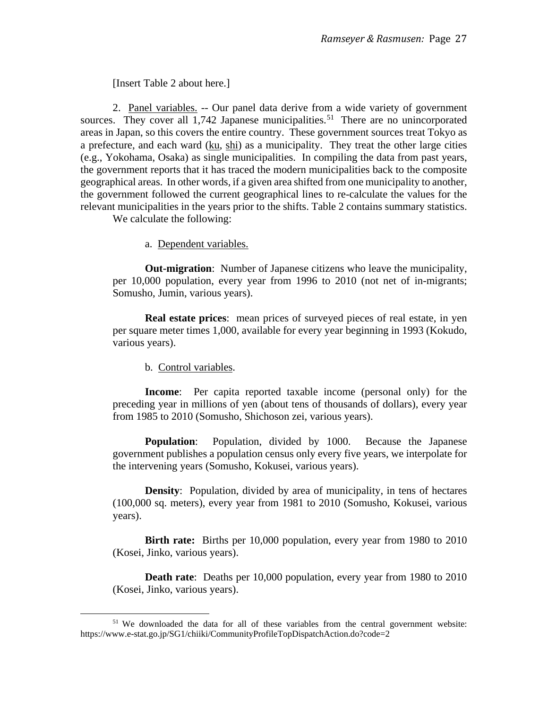[Insert Table 2 about here.]

2. Panel variables. -- Our panel data derive from a wide variety of government sources. They cover all  $1,742$  Japanese municipalities.<sup>[51](#page-26-0)</sup> There are no unincorporated areas in Japan, so this covers the entire country. These government sources treat Tokyo as a prefecture, and each ward (ku, shi) as a municipality. They treat the other large cities (e.g., Yokohama, Osaka) as single municipalities. In compiling the data from past years, the government reports that it has traced the modern municipalities back to the composite geographical areas. In other words, if a given area shifted from one municipality to another, the government followed the current geographical lines to re-calculate the values for the relevant municipalities in the years prior to the shifts. Table 2 contains summary statistics.

We calculate the following:

a. Dependent variables.

**Out-migration**: Number of Japanese citizens who leave the municipality, per 10,000 population, every year from 1996 to 2010 (not net of in-migrants; Somusho, Jumin, various years).

**Real estate prices**: mean prices of surveyed pieces of real estate, in yen per square meter times 1,000, available for every year beginning in 1993 (Kokudo, various years).

b. Control variables.

**Income**: Per capita reported taxable income (personal only) for the preceding year in millions of yen (about tens of thousands of dollars), every year from 1985 to 2010 (Somusho, Shichoson zei, various years).

**Population**: Population, divided by 1000. Because the Japanese government publishes a population census only every five years, we interpolate for the intervening years (Somusho, Kokusei, various years).

**Density:** Population, divided by area of municipality, in tens of hectares (100,000 sq. meters), every year from 1981 to 2010 (Somusho, Kokusei, various years).

**Birth rate:** Births per 10,000 population, every year from 1980 to 2010 (Kosei, Jinko, various years).

**Death rate**: Deaths per 10,000 population, every year from 1980 to 2010 (Kosei, Jinko, various years).

<span id="page-26-0"></span><sup>51</sup> We downloaded the data for all of these variables from the central government website: https://www.e-stat.go.jp/SG1/chiiki/CommunityProfileTopDispatchAction.do?code=2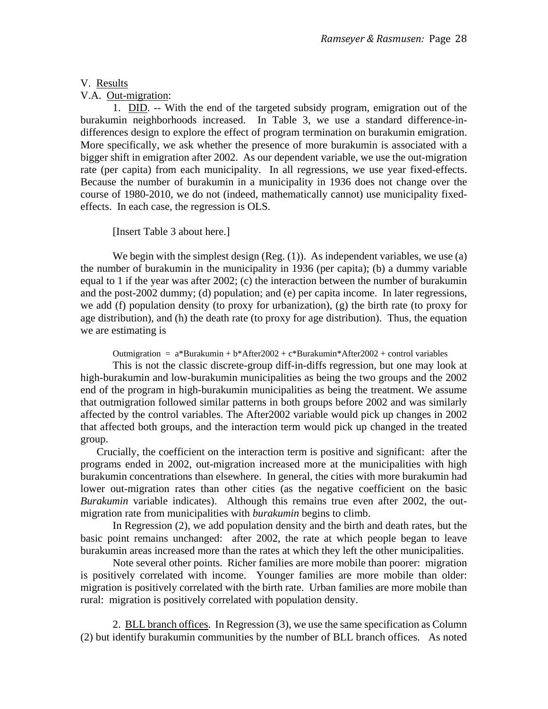### V. Results

V.A. Out-migration:

1. DID. -- With the end of the targeted subsidy program, emigration out of the burakumin neighborhoods increased. In Table 3, we use a standard difference-indifferences design to explore the effect of program termination on burakumin emigration. More specifically, we ask whether the presence of more burakumin is associated with a bigger shift in emigration after 2002. As our dependent variable, we use the out-migration rate (per capita) from each municipality. In all regressions, we use year fixed-effects. Because the number of burakumin in a municipality in 1936 does not change over the course of 1980-2010, we do not (indeed, mathematically cannot) use municipality fixedeffects. In each case, the regression is OLS.

[Insert Table 3 about here.]

We begin with the simplest design (Reg. (1)). As independent variables, we use (a) the number of burakumin in the municipality in 1936 (per capita); (b) a dummy variable equal to 1 if the year was after 2002; (c) the interaction between the number of burakumin and the post-2002 dummy; (d) population; and (e) per capita income. In later regressions, we add (f) population density (to proxy for urbanization), (g) the birth rate (to proxy for age distribution), and (h) the death rate (to proxy for age distribution). Thus, the equation we are estimating is

Outmigration =  $a*Burakumin + b*After2002 + c*Burakumin*After2002 + control variables$ 

This is not the classic discrete-group diff-in-diffs regression, but one may look at high-burakumin and low-burakumin municipalities as being the two groups and the 2002 end of the program in high-burakumin municipalities as being the treatment. We assume that outmigration followed similar patterns in both groups before 2002 and was similarly affected by the control variables. The After2002 variable would pick up changes in 2002 that affected both groups, and the interaction term would pick up changed in the treated group.

 Crucially, the coefficient on the interaction term is positive and significant: after the programs ended in 2002, out-migration increased more at the municipalities with high burakumin concentrations than elsewhere. In general, the cities with more burakumin had lower out-migration rates than other cities (as the negative coefficient on the basic *Burakumin* variable indicates). Although this remains true even after 2002, the outmigration rate from municipalities with *burakumin* begins to climb.

In Regression (2), we add population density and the birth and death rates, but the basic point remains unchanged: after 2002, the rate at which people began to leave burakumin areas increased more than the rates at which they left the other municipalities.

Note several other points. Richer families are more mobile than poorer: migration is positively correlated with income. Younger families are more mobile than older: migration is positively correlated with the birth rate. Urban families are more mobile than rural: migration is positively correlated with population density.

2. BLL branch offices. In Regression (3), we use the same specification as Column (2) but identify burakumin communities by the number of BLL branch offices. As noted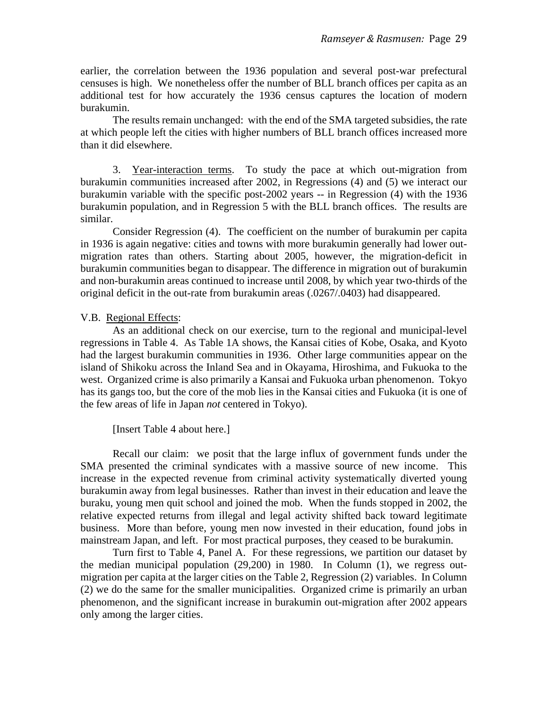earlier, the correlation between the 1936 population and several post-war prefectural censuses is high. We nonetheless offer the number of BLL branch offices per capita as an additional test for how accurately the 1936 census captures the location of modern burakumin.

The results remain unchanged: with the end of the SMA targeted subsidies, the rate at which people left the cities with higher numbers of BLL branch offices increased more than it did elsewhere.

3. Year-interaction terms. To study the pace at which out-migration from burakumin communities increased after 2002, in Regressions (4) and (5) we interact our burakumin variable with the specific post-2002 years -- in Regression (4) with the 1936 burakumin population, and in Regression 5 with the BLL branch offices. The results are similar.

Consider Regression (4). The coefficient on the number of burakumin per capita in 1936 is again negative: cities and towns with more burakumin generally had lower outmigration rates than others. Starting about 2005, however, the migration-deficit in burakumin communities began to disappear. The difference in migration out of burakumin and non-burakumin areas continued to increase until 2008, by which year two-thirds of the original deficit in the out-rate from burakumin areas (.0267/.0403) had disappeared.

#### V.B. Regional Effects:

As an additional check on our exercise, turn to the regional and municipal-level regressions in Table 4. As Table 1A shows, the Kansai cities of Kobe, Osaka, and Kyoto had the largest burakumin communities in 1936. Other large communities appear on the island of Shikoku across the Inland Sea and in Okayama, Hiroshima, and Fukuoka to the west. Organized crime is also primarily a Kansai and Fukuoka urban phenomenon. Tokyo has its gangs too, but the core of the mob lies in the Kansai cities and Fukuoka (it is one of the few areas of life in Japan *not* centered in Tokyo).

[Insert Table 4 about here.]

Recall our claim: we posit that the large influx of government funds under the SMA presented the criminal syndicates with a massive source of new income. This increase in the expected revenue from criminal activity systematically diverted young burakumin away from legal businesses. Rather than invest in their education and leave the buraku, young men quit school and joined the mob. When the funds stopped in 2002, the relative expected returns from illegal and legal activity shifted back toward legitimate business. More than before, young men now invested in their education, found jobs in mainstream Japan, and left. For most practical purposes, they ceased to be burakumin.

Turn first to Table 4, Panel A. For these regressions, we partition our dataset by the median municipal population (29,200) in 1980. In Column (1), we regress outmigration per capita at the larger cities on the Table 2, Regression (2) variables. In Column (2) we do the same for the smaller municipalities. Organized crime is primarily an urban phenomenon, and the significant increase in burakumin out-migration after 2002 appears only among the larger cities.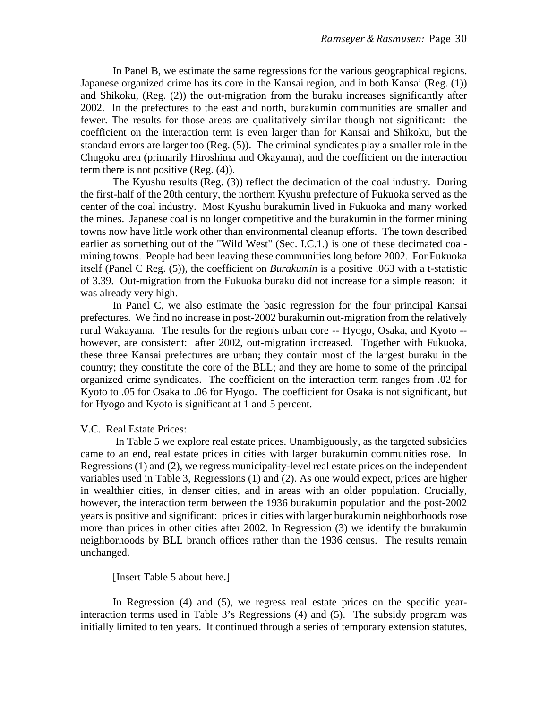In Panel B, we estimate the same regressions for the various geographical regions. Japanese organized crime has its core in the Kansai region, and in both Kansai (Reg. (1)) and Shikoku, (Reg. (2)) the out-migration from the buraku increases significantly after 2002. In the prefectures to the east and north, burakumin communities are smaller and fewer. The results for those areas are qualitatively similar though not significant: the coefficient on the interaction term is even larger than for Kansai and Shikoku, but the standard errors are larger too (Reg. (5)). The criminal syndicates play a smaller role in the Chugoku area (primarily Hiroshima and Okayama), and the coefficient on the interaction term there is not positive (Reg. (4)).

The Kyushu results (Reg. (3)) reflect the decimation of the coal industry. During the first-half of the 20th century, the northern Kyushu prefecture of Fukuoka served as the center of the coal industry. Most Kyushu burakumin lived in Fukuoka and many worked the mines. Japanese coal is no longer competitive and the burakumin in the former mining towns now have little work other than environmental cleanup efforts. The town described earlier as something out of the "Wild West" (Sec. I.C.1.) is one of these decimated coalmining towns. People had been leaving these communities long before 2002. For Fukuoka itself (Panel C Reg. (5)), the coefficient on *Burakumin* is a positive .063 with a t-statistic of 3.39. Out-migration from the Fukuoka buraku did not increase for a simple reason: it was already very high.

In Panel C, we also estimate the basic regression for the four principal Kansai prefectures. We find no increase in post-2002 burakumin out-migration from the relatively rural Wakayama. The results for the region's urban core -- Hyogo, Osaka, and Kyoto - however, are consistent: after 2002, out-migration increased. Together with Fukuoka, these three Kansai prefectures are urban; they contain most of the largest buraku in the country; they constitute the core of the BLL; and they are home to some of the principal organized crime syndicates. The coefficient on the interaction term ranges from .02 for Kyoto to .05 for Osaka to .06 for Hyogo. The coefficient for Osaka is not significant, but for Hyogo and Kyoto is significant at 1 and 5 percent.

#### V.C. Real Estate Prices:

In Table 5 we explore real estate prices. Unambiguously, as the targeted subsidies came to an end, real estate prices in cities with larger burakumin communities rose. In Regressions (1) and (2), we regress municipality-level real estate prices on the independent variables used in Table 3, Regressions (1) and (2). As one would expect, prices are higher in wealthier cities, in denser cities, and in areas with an older population. Crucially, however, the interaction term between the 1936 burakumin population and the post-2002 years is positive and significant: prices in cities with larger burakumin neighborhoods rose more than prices in other cities after 2002. In Regression (3) we identify the burakumin neighborhoods by BLL branch offices rather than the 1936 census. The results remain unchanged.

[Insert Table 5 about here.]

In Regression (4) and (5), we regress real estate prices on the specific yearinteraction terms used in Table 3's Regressions (4) and (5). The subsidy program was initially limited to ten years. It continued through a series of temporary extension statutes,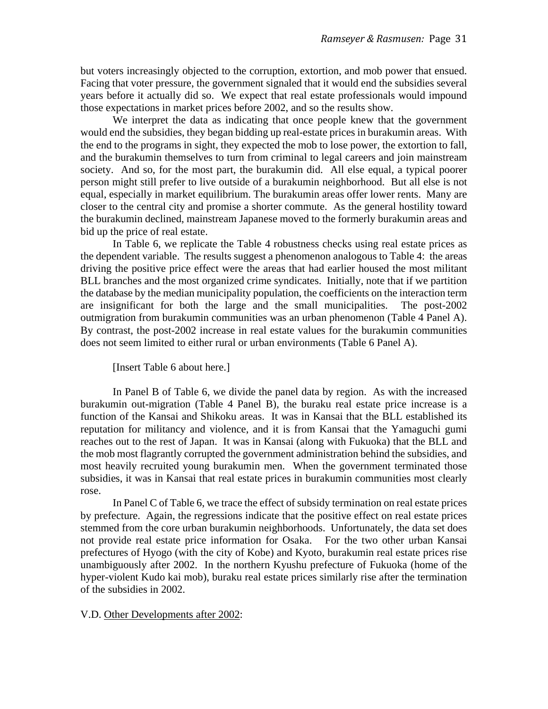but voters increasingly objected to the corruption, extortion, and mob power that ensued. Facing that voter pressure, the government signaled that it would end the subsidies several years before it actually did so. We expect that real estate professionals would impound those expectations in market prices before 2002, and so the results show.

We interpret the data as indicating that once people knew that the government would end the subsidies, they began bidding up real-estate prices in burakumin areas. With the end to the programs in sight, they expected the mob to lose power, the extortion to fall, and the burakumin themselves to turn from criminal to legal careers and join mainstream society. And so, for the most part, the burakumin did. All else equal, a typical poorer person might still prefer to live outside of a burakumin neighborhood. But all else is not equal, especially in market equilibrium. The burakumin areas offer lower rents. Many are closer to the central city and promise a shorter commute. As the general hostility toward the burakumin declined, mainstream Japanese moved to the formerly burakumin areas and bid up the price of real estate.

In Table 6, we replicate the Table 4 robustness checks using real estate prices as the dependent variable. The results suggest a phenomenon analogous to Table 4: the areas driving the positive price effect were the areas that had earlier housed the most militant BLL branches and the most organized crime syndicates. Initially, note that if we partition the database by the median municipality population, the coefficients on the interaction term are insignificant for both the large and the small municipalities. The post-2002 outmigration from burakumin communities was an urban phenomenon (Table 4 Panel A). By contrast, the post-2002 increase in real estate values for the burakumin communities does not seem limited to either rural or urban environments (Table 6 Panel A).

[Insert Table 6 about here.]

In Panel B of Table 6, we divide the panel data by region. As with the increased burakumin out-migration (Table 4 Panel B), the buraku real estate price increase is a function of the Kansai and Shikoku areas. It was in Kansai that the BLL established its reputation for militancy and violence, and it is from Kansai that the Yamaguchi gumi reaches out to the rest of Japan. It was in Kansai (along with Fukuoka) that the BLL and the mob most flagrantly corrupted the government administration behind the subsidies, and most heavily recruited young burakumin men. When the government terminated those subsidies, it was in Kansai that real estate prices in burakumin communities most clearly rose.

In Panel C of Table 6, we trace the effect of subsidy termination on real estate prices by prefecture. Again, the regressions indicate that the positive effect on real estate prices stemmed from the core urban burakumin neighborhoods. Unfortunately, the data set does not provide real estate price information for Osaka. For the two other urban Kansai prefectures of Hyogo (with the city of Kobe) and Kyoto, burakumin real estate prices rise unambiguously after 2002. In the northern Kyushu prefecture of Fukuoka (home of the hyper-violent Kudo kai mob), buraku real estate prices similarly rise after the termination of the subsidies in 2002.

#### V.D. Other Developments after 2002: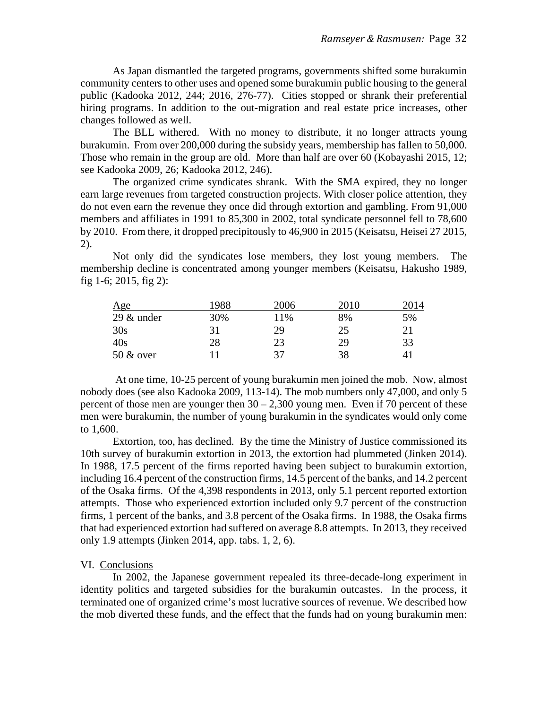As Japan dismantled the targeted programs, governments shifted some burakumin community centers to other uses and opened some burakumin public housing to the general public (Kadooka 2012, 244; 2016, 276-77). Cities stopped or shrank their preferential hiring programs. In addition to the out-migration and real estate price increases, other changes followed as well.

The BLL withered. With no money to distribute, it no longer attracts young burakumin. From over 200,000 during the subsidy years, membership has fallen to 50,000. Those who remain in the group are old. More than half are over 60 (Kobayashi 2015, 12; see Kadooka 2009, 26; Kadooka 2012, 246).

The organized crime syndicates shrank. With the SMA expired, they no longer earn large revenues from targeted construction projects. With closer police attention, they do not even earn the revenue they once did through extortion and gambling. From 91,000 members and affiliates in 1991 to 85,300 in 2002, total syndicate personnel fell to 78,600 by 2010. From there, it dropped precipitously to 46,900 in 2015 (Keisatsu, Heisei 27 2015, 2).

Not only did the syndicates lose members, they lost young members. The membership decline is concentrated among younger members (Keisatsu, Hakusho 1989, fig 1-6; 2015, fig 2):

| Age           | 1988 | 2006 | 2010 | 2014 |
|---------------|------|------|------|------|
| $29 \&$ under | 30%  | 11%  | 8%   | 5%   |
| 30s           | 31   | 29   | 25   | 21   |
| 40s           | 28   | 23   | 29   | 33   |
| 50 & over     |      | 37   | 38   |      |

At one time, 10-25 percent of young burakumin men joined the mob. Now, almost nobody does (see also Kadooka 2009, 113-14). The mob numbers only 47,000, and only 5 percent of those men are younger then  $30 - 2,300$  young men. Even if 70 percent of these men were burakumin, the number of young burakumin in the syndicates would only come to 1,600.

Extortion, too, has declined. By the time the Ministry of Justice commissioned its 10th survey of burakumin extortion in 2013, the extortion had plummeted (Jinken 2014). In 1988, 17.5 percent of the firms reported having been subject to burakumin extortion, including 16.4 percent of the construction firms, 14.5 percent of the banks, and 14.2 percent of the Osaka firms. Of the 4,398 respondents in 2013, only 5.1 percent reported extortion attempts. Those who experienced extortion included only 9.7 percent of the construction firms, 1 percent of the banks, and 3.8 percent of the Osaka firms. In 1988, the Osaka firms that had experienced extortion had suffered on average 8.8 attempts. In 2013, they received only 1.9 attempts (Jinken 2014, app. tabs. 1, 2, 6).

#### VI. Conclusions

In 2002, the Japanese government repealed its three-decade-long experiment in identity politics and targeted subsidies for the burakumin outcastes. In the process, it terminated one of organized crime's most lucrative sources of revenue. We described how the mob diverted these funds, and the effect that the funds had on young burakumin men: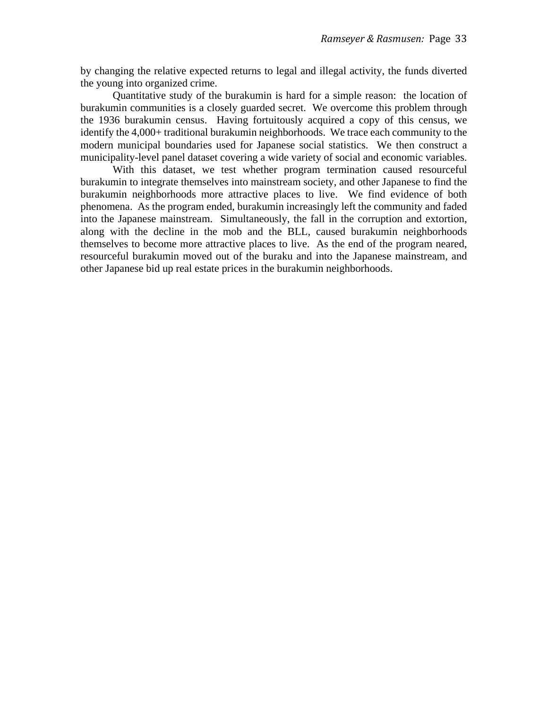by changing the relative expected returns to legal and illegal activity, the funds diverted the young into organized crime.

Quantitative study of the burakumin is hard for a simple reason: the location of burakumin communities is a closely guarded secret. We overcome this problem through the 1936 burakumin census. Having fortuitously acquired a copy of this census, we identify the 4,000+ traditional burakumin neighborhoods. We trace each community to the modern municipal boundaries used for Japanese social statistics. We then construct a municipality-level panel dataset covering a wide variety of social and economic variables.

With this dataset, we test whether program termination caused resourceful burakumin to integrate themselves into mainstream society, and other Japanese to find the burakumin neighborhoods more attractive places to live. We find evidence of both phenomena. As the program ended, burakumin increasingly left the community and faded into the Japanese mainstream. Simultaneously, the fall in the corruption and extortion, along with the decline in the mob and the BLL, caused burakumin neighborhoods themselves to become more attractive places to live. As the end of the program neared, resourceful burakumin moved out of the buraku and into the Japanese mainstream, and other Japanese bid up real estate prices in the burakumin neighborhoods.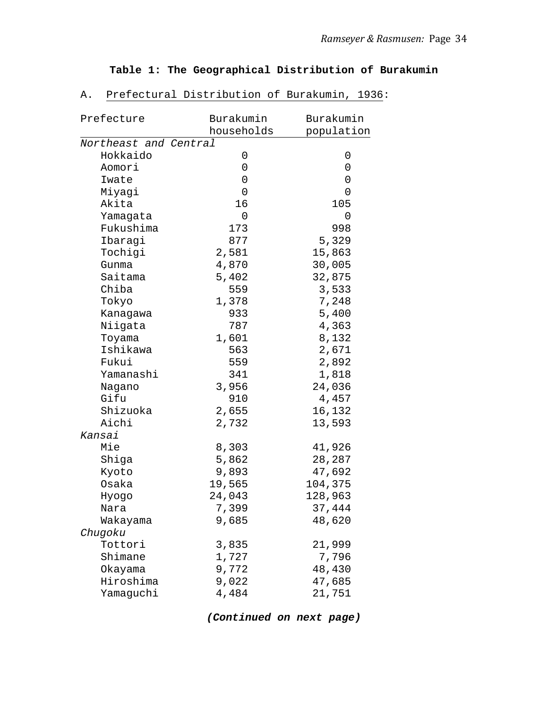## **Table 1: The Geographical Distribution of Burakumin**

| Prefecture            | Burakumin  | Burakumin  |
|-----------------------|------------|------------|
| Northeast and Central | households | population |
| Hokkaido              | 0          |            |
| Aomori                | 0          | 0<br>0     |
|                       |            |            |
| Iwate                 | 0          | 0          |
| Miyagi                | 0          | 0          |
| Akita                 | 16         | 105        |
| Yamagata              | $\Omega$   | 0          |
| Fukushima             | 173        | 998        |
| Ibaragi               | 877        | 5,329      |
| Tochigi               | 2,581      | 15,863     |
| Gunma                 | 4,870      | 30,005     |
| Saitama               | 5,402      | 32,875     |
| Chiba                 | 559        | 3,533      |
| Tokyo                 | 1,378      | 7,248      |
| Kanagawa              | 933        | 5,400      |
| Niigata               | 787        | 4,363      |
| Toyama                | 1,601      | 8,132      |
| Ishikawa              | 563        | 2,671      |
| Fukui                 | 559        | 2,892      |
| Yamanashi             | 341        | 1,818      |
| Nagano                | 3,956      | 24,036     |
| Gifu                  | 910        | 4,457      |
| Shizuoka              | 2,655      | 16,132     |
| Aichi                 | 2,732      | 13,593     |
| Kansai                |            |            |
| Mie                   | 8,303      | 41,926     |
| Shiga                 | 5,862      | 28,287     |
| Kyoto                 | 9,893      | 47,692     |
| Osaka                 | 19,565     | 104,375    |
| Hyogo                 | 24,043     | 128,963    |
| Nara                  | 7,399      | 37,444     |
| Wakayama              | 9,685      | 48,620     |
| Chugoku               |            |            |
| Tottori               | 3,835      | 21,999     |
| Shimane               | 1,727      | 7,796      |
| Okayama               | 9,772      | 48,430     |
| Hiroshima             | 9,022      | 47,685     |
| Yamaguchi             | 4,484      | 21,751     |
|                       |            |            |

A. Prefectural Distribution of Burakumin, 1936:

*(Continued on next page)*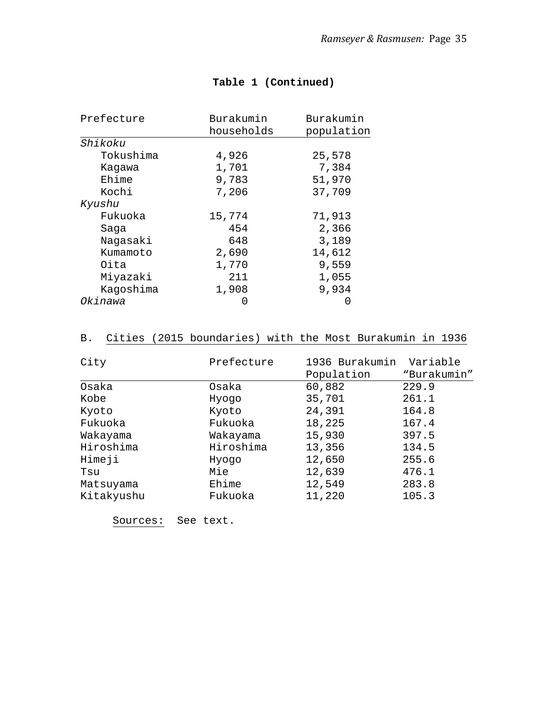| Prefecture | Burakumin        | Burakumin  |
|------------|------------------|------------|
|            | households       | population |
| Shikoku    |                  |            |
| Tokushima  | 4,926            | 25,578     |
| Kagawa     | 1,701            | 7,384      |
| Ehime      | 9,783            | 51,970     |
| Kochi      | 7,206            | 37,709     |
| Kyushu     |                  |            |
| Fukuoka    | 15,774           | 71,913     |
| Saga       | 454              | 2,366      |
| Nagasaki   | 648              | 3,189      |
| Kumamoto   | 2,690            | 14,612     |
| Oita       | 1,770            | 9,559      |
| Miyazaki   | 211              | 1,055      |
| Kagoshima  | 1,908            | 9,934      |
| Okinawa    | $\left( \right)$ | O          |

## **Table 1 (Continued)**

# B. Cities (2015 boundaries) with the Most Burakumin in 1936

| Prefecture | 1936 Burakumin | Variable    |
|------------|----------------|-------------|
|            | Population     | "Burakumin" |
| Osaka      | 60,882         | 229.9       |
| Hyogo      | 35,701         | 261.1       |
| Kyoto      | 24,391         | 164.8       |
| Fukuoka    | 18,225         | 167.4       |
| Wakayama   | 15,930         | 397.5       |
| Hiroshima  | 13,356         | 134.5       |
| Hyogo      | 12,650         | 255.6       |
| Mie        | 12,639         | 476.1       |
| Ehime      | 12,549         | 283.8       |
| Fukuoka    | 11,220         | 105.3       |
|            |                |             |

Sources: See text.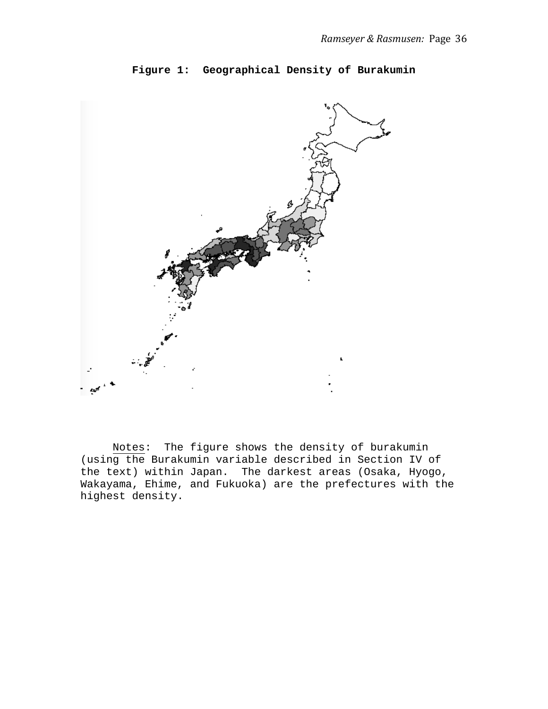### **Figure 1: Geographical Density of Burakumin**



Notes: The figure shows the density of burakumin (using the Burakumin variable described in Section IV of the text) within Japan. The darkest areas (Osaka, Hyogo, Wakayama, Ehime, and Fukuoka) are the prefectures with the highest density.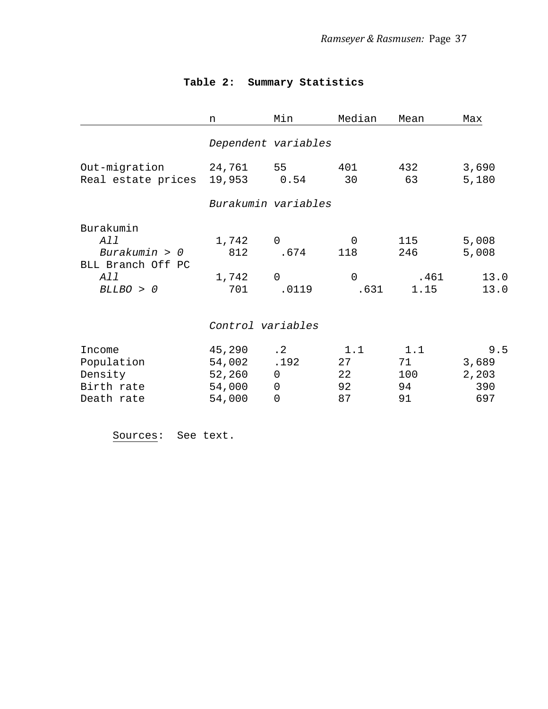|                                                                            | n                                              | Min                                                  | Median                                 | Mean                         | Max                                 |
|----------------------------------------------------------------------------|------------------------------------------------|------------------------------------------------------|----------------------------------------|------------------------------|-------------------------------------|
|                                                                            |                                                | Dependent variables                                  |                                        |                              |                                     |
| Out-migration<br>Real estate prices                                        | 24,761 55<br>19,953 0.54                       |                                                      | 401<br>30                              | 432<br>63                    | 3,690<br>5,180                      |
|                                                                            |                                                | Burakumin variables                                  |                                        |                              |                                     |
| Burakumin<br>All<br>Burakumin > 0<br>BLL Branch Off PC<br>All<br>BLLBO > 0 | 1,742<br>812<br>1,742<br>701                   | $\mathbf 0$<br>.674<br>$\mathbf 0$<br>.0119          | $\Omega$<br>118<br>$\mathbf 0$<br>.631 | 115<br>246<br>.461<br>1.15   | 5,008<br>5,008<br>13.0<br>13.0      |
|                                                                            | Control variables                              |                                                      |                                        |                              |                                     |
| Income<br>Population<br>Density<br>Birth rate<br>Death rate                | 45,290<br>54,002<br>52,260<br>54,000<br>54,000 | $\cdot$ 2<br>.192<br>0<br>$\mathbf 0$<br>$\mathbf 0$ | 1.1<br>27<br>22<br>92<br>87            | 1.1<br>71<br>100<br>94<br>91 | 9.5<br>3,689<br>2,203<br>390<br>697 |

# **Table 2: Summary Statistics**

Sources: See text.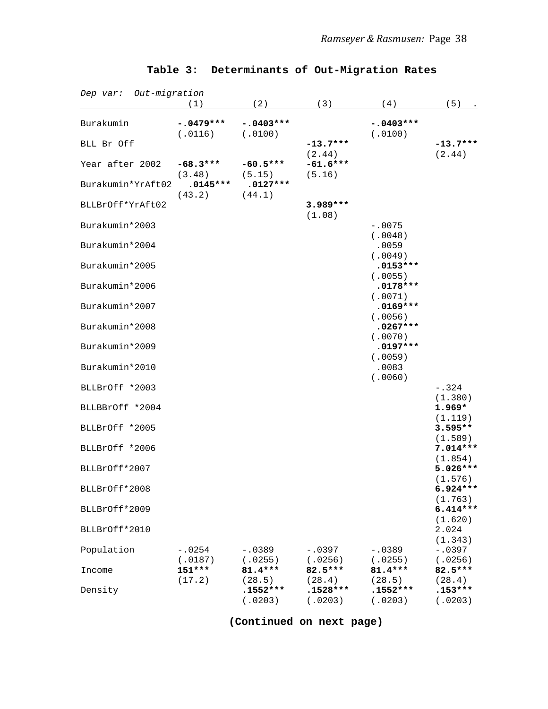| Dep var: Out-migration | (1)                    | (2)                             | (3)                             | (4)                              | (5)                              |
|------------------------|------------------------|---------------------------------|---------------------------------|----------------------------------|----------------------------------|
| Burakumin              | $-.0479***$<br>(.0116) | $-.0403***$<br>(.0100)          |                                 | $-.0403***$<br>(.0100)           |                                  |
| BLL Br Off             |                        |                                 | $-13.7***$                      |                                  | $-13.7***$                       |
| Year after 2002        | $-68.3***$<br>(3.48)   | $-60.5***$<br>(5.15)            | (2.44)<br>$-61.6***$<br>(5.16)  |                                  | (2.44)                           |
| Burakumin*YrAft02      | $.0145***$<br>(43.2)   | $.0127***$<br>(44.1)            |                                 |                                  |                                  |
| BLLBrOff*YrAft02       |                        |                                 | 3.989***<br>(1.08)              |                                  |                                  |
| Burakumin*2003         |                        |                                 |                                 | $-.0075$                         |                                  |
| Burakumin*2004         |                        |                                 |                                 | (.0048)<br>.0059                 |                                  |
| Burakumin*2005         |                        |                                 |                                 | (.0049)<br>$.0153***$            |                                  |
| Burakumin*2006         |                        |                                 |                                 | (.0055)<br>$.0178***$            |                                  |
| Burakumin*2007         |                        |                                 |                                 | (.0071)<br>$.0169***$            |                                  |
| Burakumin*2008         |                        |                                 |                                 | (.0056)<br>$.0267***$<br>(.0070) |                                  |
| Burakumin*2009         |                        |                                 |                                 | $.0197***$                       |                                  |
| Burakumin*2010         |                        |                                 |                                 | (.0059)<br>.0083                 |                                  |
| BLLBrOff *2003         |                        |                                 |                                 | (.0060)                          | $-.324$                          |
| BLLBBrOff *2004        |                        |                                 |                                 |                                  | (1.380)<br>$1.969*$              |
| BLLBrOff *2005         |                        |                                 |                                 |                                  | (1.119)<br>$3.595**$             |
| BLLBrOff *2006         |                        |                                 |                                 |                                  | (1.589)<br>$7.014***$            |
| BLLBrOff*2007          |                        |                                 |                                 |                                  | (1.854)<br>$5.026***$<br>(1.576) |
| BLLBrOff*2008          |                        |                                 |                                 |                                  | $6.924***$<br>(1.763)            |
| BLLBrOff*2009          |                        |                                 |                                 |                                  | $6.414***$<br>(1.620)            |
| BLLBrOff*2010          |                        |                                 |                                 |                                  | 2.024<br>(1.343)                 |
| Population             | $-.0254$<br>(.0187)    | $-.0389$<br>(.0255)             | $-.0397$<br>(.0256)             | $-.0389$<br>(.0255)              | $-.0397$<br>(.0256)              |
| Income                 | $151***$               | $81.4***$                       | 82.5***                         | $81.4***$                        | 82.5***                          |
| Density                | (17.2)                 | (28.5)<br>$.1552***$<br>(.0203) | (28.4)<br>$.1528***$<br>(.0203) | (28.5)<br>$.1552***$<br>(.0203)  | (28.4)<br>$.153***$<br>(.0203)   |

## **Table 3: Determinants of Out-Migration Rates**

**(Continued on next page)**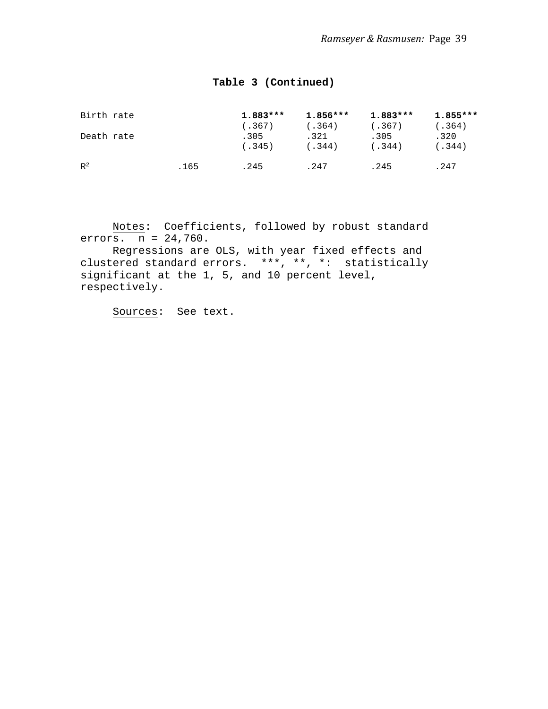## **Table 3 (Continued)**

| Birth rate |      | $1.883***$ | $1.856***$ | 1.883*** | $1.855***$ |
|------------|------|------------|------------|----------|------------|
|            |      | (.367)     | (.364)     | (.367)   | (.364)     |
| Death rate |      | .305       | .321       | .305     | .320       |
|            |      | (.345)     | (.344)     | (.344)   | (.344)     |
| $R^2$      | .165 | .245       | .247       | .245     | .247       |
|            |      |            |            |          |            |

Notes: Coefficients, followed by robust standard errors.  $n = 24,760$ .

Regressions are OLS, with year fixed effects and clustered standard errors. \*\*\*, \*\*, \*: statistically significant at the 1, 5, and 10 percent level, respectively.

Sources: See text.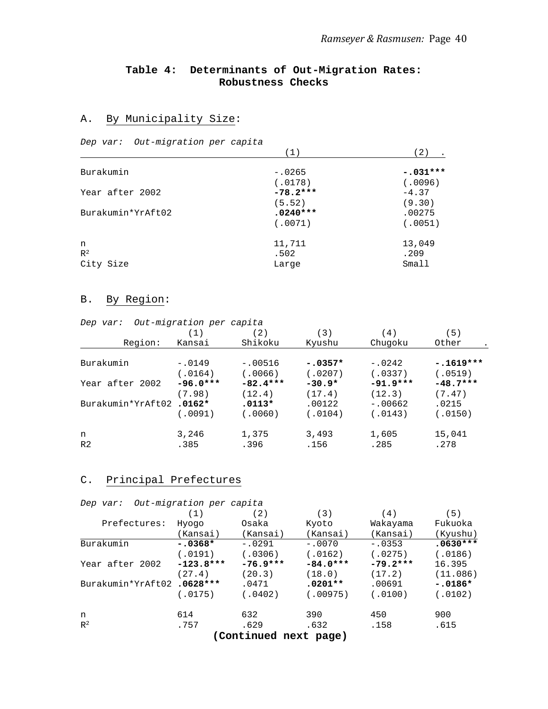### **Table 4: Determinants of Out-Migration Rates: Robustness Checks**

#### A. By Municipality Size:

*Dep var: Out-migration per capita*

|                   | (1)        | 〔2〕        |
|-------------------|------------|------------|
| Burakumin         | $-.0265$   | $-.031***$ |
|                   | (.0178)    | (.0096)    |
| Year after 2002   | $-78.2***$ | $-4.37$    |
|                   | (5.52)     | (9.30)     |
| Burakumin*YrAft02 | $.0240***$ | .00275     |
|                   | (.0071)    | (.0051)    |
| n                 | 11,711     | 13,049     |
| $R^2$             | .502       | .209       |
| City Size         | Large      | Small      |

### B. By Region:

*Dep var: Out-migration per capita*

|                   | (1)        | (2)        | (3)       | 4)         | (5)         |
|-------------------|------------|------------|-----------|------------|-------------|
| Region:           | Kansai     | Shikoku    | Kyushu    | Chugoku    | Other       |
|                   |            |            |           |            |             |
| Burakumin         | $-.0149$   | $-.00516$  | $-.0357*$ | $-.0242$   | $-.1619***$ |
|                   | (.0164)    | (0.0066)   | (.0207)   | (.0337)    | (.0519)     |
| Year after 2002   | $-96.0***$ | $-82.4***$ | $-30.9*$  | $-91.9***$ | $-48.7***$  |
|                   | (7.98)     | (12.4)     | (17.4)    | (12.3)     | (7.47)      |
| Burakumin*YrAft02 | $.0162*$   | $.0113*$   | .00122    | $-.00662$  | .0215       |
|                   | (.0091)    | (.0060)    | (.0104)   | (.0143)    | (.0150)     |
| n                 | 3,246      | 1,375      | 3,493     | 1,605      | 15,041      |
| R <sub>2</sub>    | .385       | .396       | .156      | .285       | .278        |
|                   |            |            |           |            |             |

### C. Principal Prefectures

| Dep var:                  | Out-migration per capita |                  |            |            |            |
|---------------------------|--------------------------|------------------|------------|------------|------------|
|                           | (1)                      | (2)              | (3)        | (4)        | (5)        |
| Prefectures:              | Hyogo                    | Osaka            | Kyoto      | Wakayama   | Fukuoka    |
|                           | (Kansai)                 | (Kansai)         | (Kansai)   | (Kansai)   | (Kyushu)   |
| Burakumin                 | $-.0368*$                | $-.0291$         | $-.0070$   | $-.0353$   | $.0630***$ |
|                           | (.0191)                  | (.0306)          | (.0162)    | (.0275)    | (.0186)    |
| Year after 2002           | $-123.8***$              | $-76.9***$       | $-84.0***$ | $-79.2***$ | 16.395     |
|                           | (27.4)                   | (20.3)           | (18.0)     | (17.2)     | (11.086)   |
| Burakumin*YrAft02.0628*** |                          | .0471            | $.0201**$  | .00691     | $-.0186*$  |
|                           | (.0175)                  | (.0402)          | (.00975)   | (.0100)    | (.0102)    |
| n                         | 614                      | 632              | 390        | 450        | 900        |
| $\mathbb{R}^2$            | .757                     | .629             | .632       | .158       | .615       |
|                           |                          | (Confinite model |            |            |            |

 **(Continued next page)**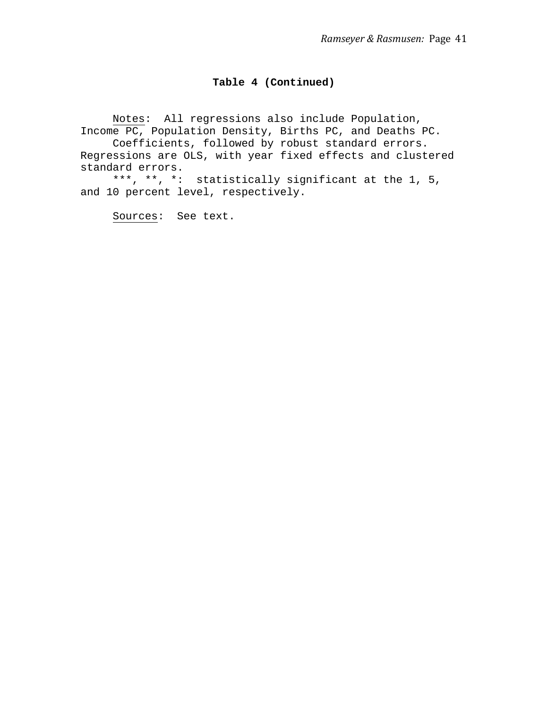#### **Table 4 (Continued)**

Notes: All regressions also include Population, Income PC, Population Density, Births PC, and Deaths PC. Coefficients, followed by robust standard errors. Regressions are OLS, with year fixed effects and clustered standard errors. \*\*\*, \*\*, \*: statistically significant at the 1, 5,

and 10 percent level, respectively.

Sources: See text.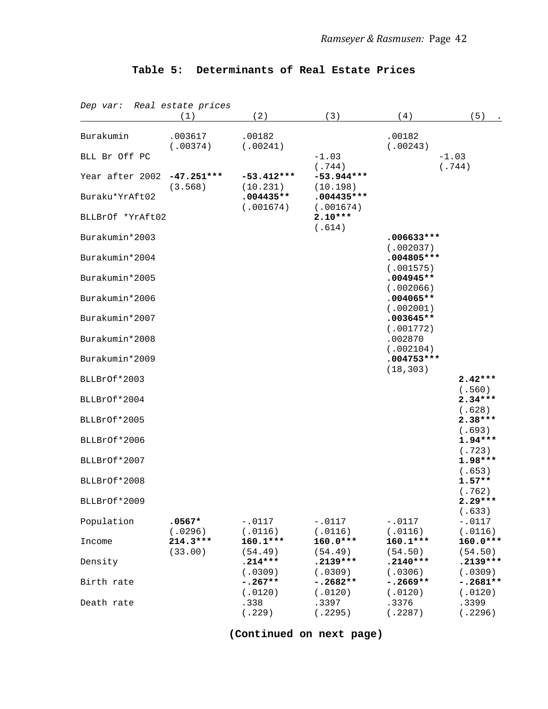| Dep var: Real estate prices | (1)                     | (2)                      | (3)                                | (4)                                    | (5)                           |
|-----------------------------|-------------------------|--------------------------|------------------------------------|----------------------------------------|-------------------------------|
| Burakumin                   | .003617                 | .00182                   |                                    | .00182                                 |                               |
| BLL Br Off PC               | (.00374)                | (.00241)                 | $-1.03$                            | (.00243)                               | $-1.03$                       |
| Year after 2002             | $-47.251***$<br>(3.568) | $-53.412***$<br>(10.231) | (.744)<br>$-53.944***$<br>(10.198) |                                        | (.744)                        |
| Buraku*YrAft02              |                         | $.004435**$<br>(.001674) | $.004435***$<br>(.001674)          |                                        |                               |
| BLLBrOf *YrAft02            |                         |                          | $2.10***$<br>(.614)                |                                        |                               |
| Burakumin*2003              |                         |                          |                                    | $.006633***$                           |                               |
| Burakumin*2004              |                         |                          |                                    | (.002037)<br>$.004805***$              |                               |
| Burakumin*2005              |                         |                          |                                    | (.001575)<br>$.004945**$<br>(.002066)  |                               |
| Burakumin*2006              |                         |                          |                                    | $.004065**$                            |                               |
| Burakumin*2007              |                         |                          |                                    | (.002001)<br>$.003645**$               |                               |
| Burakumin*2008              |                         |                          |                                    | (.001772)<br>.002870                   |                               |
| Burakumin*2009              |                         |                          |                                    | (.002104)<br>$.004753***$<br>(18, 303) |                               |
| BLLBrOf*2003                |                         |                          |                                    |                                        | $2.42***$                     |
| BLLBrOf*2004                |                         |                          |                                    |                                        | (.560)<br>$2.34***$           |
| BLLBrOf*2005                |                         |                          |                                    |                                        | (.628)<br>$2.38***$           |
| BLLBrOf*2006                |                         |                          |                                    |                                        | (.693)<br>$1.94***$           |
| BLLBrOf*2007                |                         |                          |                                    |                                        | (.723)<br>$1.98***$<br>(.653) |
| BLLBrOf*2008                |                         |                          |                                    |                                        | $1.57**$<br>(.762)            |
| BLLBrOf*2009                |                         |                          |                                    |                                        | $2.29***$<br>(.633)           |
| Population                  | $.0567*$<br>(.0296)     | $-.0117$<br>(.0116)      | $-.0117$<br>(.0116)                | $-.0117$<br>(.0116)                    | $-.0117$<br>(.0116)           |
| Income                      | $214.3***$<br>(33.00)   | 160.1***<br>(54.49)      | 160.0***<br>(54.49)                | $160.1***$<br>(54.50)                  | 160.0***<br>(54.50)           |
| Density                     |                         | $.214***$<br>(.0309)     | $.2139***$<br>(.0309)              | $.2140***$<br>(.0306)                  | $.2139***$<br>(.0309)         |
| Birth rate                  |                         | $-.267**$<br>(.0120)     | $-.2682**$<br>(.0120)              | $-.2669**$<br>(.0120)                  | $-.2681**$<br>(.0120)         |
| Death rate                  |                         | .338<br>(.229)           | .3397<br>(.2295)                   | .3376<br>(.2287)                       | .3399<br>(.2296)              |

**(Continued on next page)**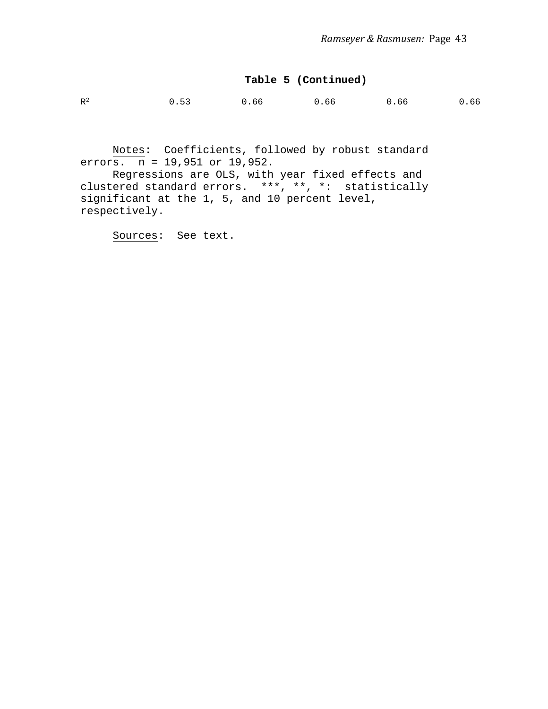#### **Table 5 (Continued)**

| $R^2$<br>0.53<br>0.66<br>0.66<br>0.66 |  |  |  |  |  | 0.66 |
|---------------------------------------|--|--|--|--|--|------|
|---------------------------------------|--|--|--|--|--|------|

Notes: Coefficients, followed by robust standard errors.  $n = 19,951$  or  $19,952$ .

Regressions are OLS, with year fixed effects and clustered standard errors. \*\*\*, \*\*, \*: statistically significant at the 1, 5, and 10 percent level, respectively.

Sources: See text.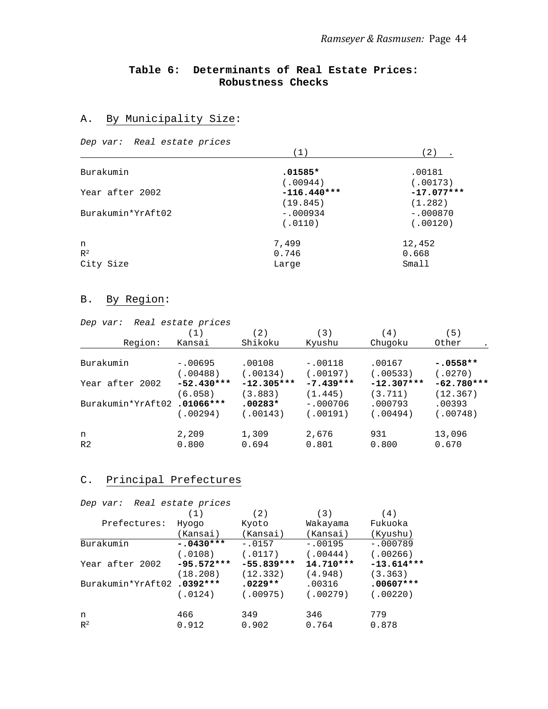### **Table 6: Determinants of Real Estate Prices: Robustness Checks**

### A. By Municipality Size:

*Dep var: Real estate prices*

|                   |               | -2)          |
|-------------------|---------------|--------------|
| Burakumin         | $.01585*$     | .00181       |
|                   | (.00944)      | (.00173)     |
| Year after 2002   | $-116.440***$ | $-17.077***$ |
|                   | (19.845)      | (1.282)      |
| Burakumin*YrAft02 | $-.000934$    | $-.000870$   |
|                   | (.0110)       | (.00120)     |
| n                 | 7,499         | 12,452       |
| $R^2$             | 0.746         | 0.668        |
| City Size         | Large         | Small        |

## B. By Region:

| Dep var:          | Real estate prices |              |             |              |              |
|-------------------|--------------------|--------------|-------------|--------------|--------------|
|                   | (1)                | (2)          | (3)         | (4)          | (5)          |
| Region:           | Kansai             | Shikoku      | Kyushu      | Chugoku      | Other        |
| Burakumin         | $-.00695$          | .00108       | $-.00118$   | .00167       | $-.0558**$   |
|                   | (.00488)           | (.00134)     | (.00197)    | (.00533)     | (.0270)      |
| Year after 2002   | $-52.430***$       | $-12.305***$ | $-7.439***$ | $-12.307***$ | $-62.780***$ |
|                   | (6.058)            | (3.883)      | (1.445)     | (3.711)      | (12.367)     |
| Burakumin*YrAft02 | $.01066***$        | $.00283*$    | $-.000706$  | .000793      | .00393       |
|                   | (.00294)           | (.00143)     | (.00191)    | (.00494)     | (.00748)     |
| n                 | 2,209              | 1,309        | 2,676       | 931          | 13,096       |
| R <sub>2</sub>    | 0.800              | 0.694        | 0.801       | 0.800        | 0.670        |

### C. Principal Prefectures

| Dep var:  |                   | Real estate prices |              |           |              |
|-----------|-------------------|--------------------|--------------|-----------|--------------|
|           |                   | (1)                | (2)          | (3)       | (4)          |
|           | Prefectures:      | Hyogo              | Kyoto        | Wakayama  | Fukuoka      |
|           |                   | (Kansai)           | (Kansai)     | (Kansai)  | (Kyushu)     |
| Burakumin |                   | $-.0430***$        | $-.0157$     | $-.00195$ | $-.000789$   |
|           |                   | (.0108)            | (.0117)      | (.00444)  | (.00266)     |
|           | Year after 2002   | $-95.572***$       | $-55.839***$ | 14.710*** | $-13.614***$ |
|           |                   | (18.208)           | (12.332)     | (4.948)   | (3.363)      |
|           | Burakumin*YrAft02 | $.0392***$         | $.0229**$    | .00316    | $.00607***$  |
|           |                   | (.0124)            | (0.00975)    | (.00279)  | (.00220)     |
| n         |                   | 466                | 349          | 346       | 779          |
| $R^2$     |                   | 0.912              | 0.902        | 0.764     | 0.878        |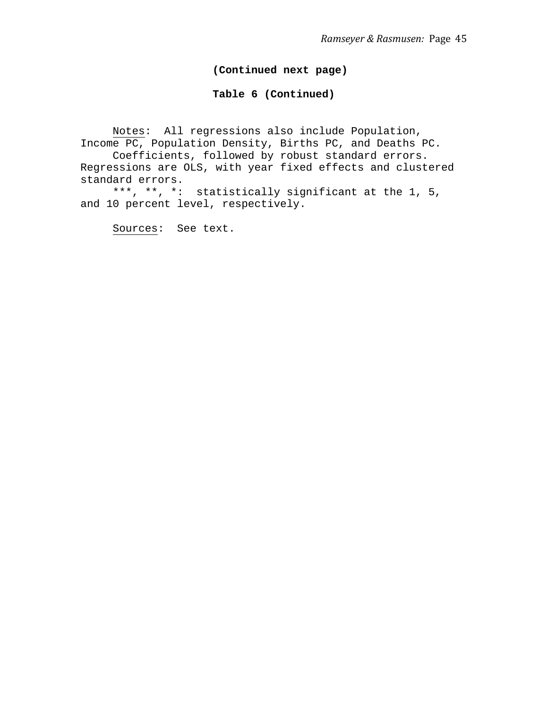### **(Continued next page)**

#### **Table 6 (Continued)**

Notes: All regressions also include Population, Income PC, Population Density, Births PC, and Deaths PC. Coefficients, followed by robust standard errors. Regressions are OLS, with year fixed effects and clustered standard errors.

\*\*\*, \*\*, \*: statistically significant at the 1, 5, and 10 percent level, respectively.

Sources: See text.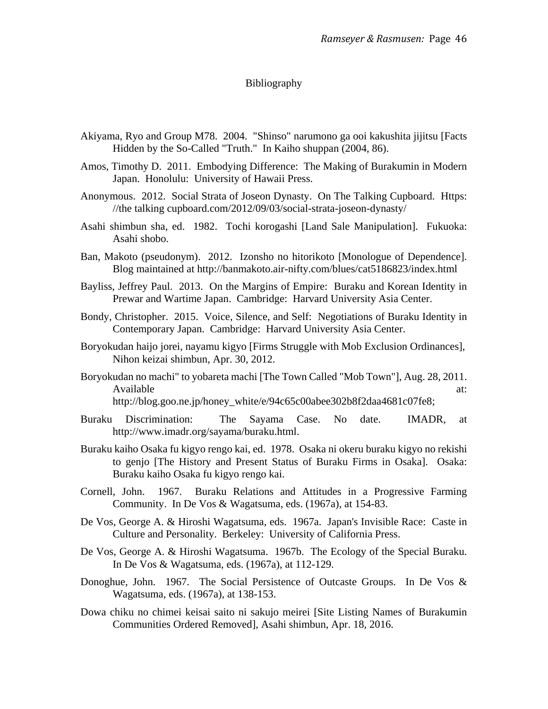#### Bibliography

- Akiyama, Ryo and Group M78. 2004. "Shinso" narumono ga ooi kakushita jijitsu [Facts Hidden by the So-Called "Truth." In Kaiho shuppan (2004, 86).
- Amos, Timothy D. 2011. Embodying Difference: The Making of Burakumin in Modern Japan. Honolulu: University of Hawaii Press.
- Anonymous. 2012. Social Strata of Joseon Dynasty. On The Talking Cupboard. Https: //the talking cupboard.com/2012/09/03/social-strata-joseon-dynasty/
- Asahi shimbun sha, ed. 1982. Tochi korogashi [Land Sale Manipulation]. Fukuoka: Asahi shobo.
- Ban, Makoto (pseudonym). 2012. Izonsho no hitorikoto [Monologue of Dependence]. Blog maintained at http://banmakoto.air-nifty.com/blues/cat5186823/index.html
- Bayliss, Jeffrey Paul. 2013. On the Margins of Empire: Buraku and Korean Identity in Prewar and Wartime Japan. Cambridge: Harvard University Asia Center.
- Bondy, Christopher. 2015. Voice, Silence, and Self: Negotiations of Buraku Identity in Contemporary Japan. Cambridge: Harvard University Asia Center.
- Boryokudan haijo jorei, nayamu kigyo [Firms Struggle with Mob Exclusion Ordinances], Nihon keizai shimbun, Apr. 30, 2012.
- Boryokudan no machi" to yobareta machi [The Town Called "Mob Town"], Aug. 28, 2011. Available at:  $\alpha$ http://blog.goo.ne.jp/honey\_white/e/94c65c00abee302b8f2daa4681c07fe8;
- Buraku Discrimination: The Sayama Case. No date. IMADR, at http://www.imadr.org/sayama/buraku.html.
- Buraku kaiho Osaka fu kigyo rengo kai, ed. 1978. Osaka ni okeru buraku kigyo no rekishi to genjo [The History and Present Status of Buraku Firms in Osaka]. Osaka: Buraku kaiho Osaka fu kigyo rengo kai.
- Cornell, John. 1967. Buraku Relations and Attitudes in a Progressive Farming Community. In De Vos & Wagatsuma, eds. (1967a), at 154-83.
- De Vos, George A. & Hiroshi Wagatsuma, eds. 1967a. Japan's Invisible Race: Caste in Culture and Personality. Berkeley: University of California Press.
- De Vos, George A. & Hiroshi Wagatsuma. 1967b. The Ecology of the Special Buraku. In De Vos & Wagatsuma, eds. (1967a), at 112-129.
- Donoghue, John. 1967. The Social Persistence of Outcaste Groups. In De Vos & Wagatsuma, eds. (1967a), at 138-153.
- Dowa chiku no chimei keisai saito ni sakujo meirei [Site Listing Names of Burakumin Communities Ordered Removed], Asahi shimbun, Apr. 18, 2016.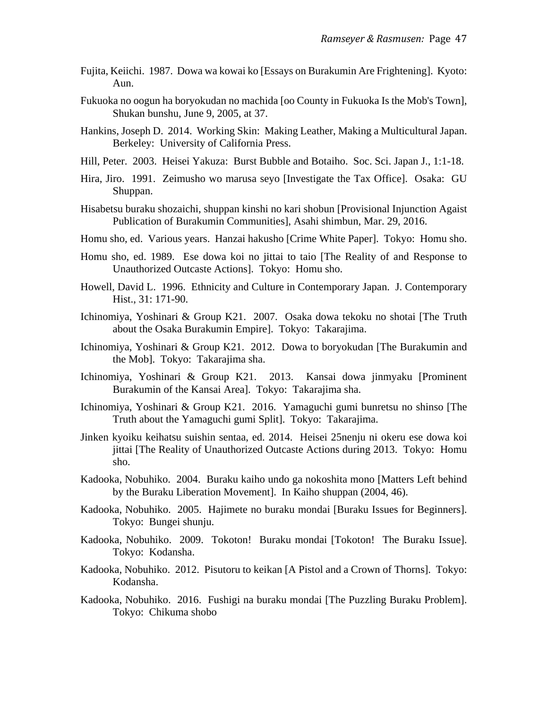- Fujita, Keiichi. 1987. Dowa wa kowai ko [Essays on Burakumin Are Frightening]. Kyoto: Aun.
- Fukuoka no oogun ha boryokudan no machida [oo County in Fukuoka Is the Mob's Town], Shukan bunshu, June 9, 2005, at 37.
- Hankins, Joseph D. 2014. Working Skin: Making Leather, Making a Multicultural Japan. Berkeley: University of California Press.
- Hill, Peter. 2003. Heisei Yakuza: Burst Bubble and Botaiho. Soc. Sci. Japan J., 1:1-18.
- Hira, Jiro. 1991. Zeimusho wo marusa seyo [Investigate the Tax Office]. Osaka: GU Shuppan.
- Hisabetsu buraku shozaichi, shuppan kinshi no kari shobun [Provisional Injunction Agaist Publication of Burakumin Communities], Asahi shimbun, Mar. 29, 2016.
- Homu sho, ed. Various years. Hanzai hakusho [Crime White Paper]. Tokyo: Homu sho.
- Homu sho, ed. 1989. Ese dowa koi no jittai to taio [The Reality of and Response to Unauthorized Outcaste Actions]. Tokyo: Homu sho.
- Howell, David L. 1996. Ethnicity and Culture in Contemporary Japan. J. Contemporary Hist., 31: 171-90.
- Ichinomiya, Yoshinari & Group K21. 2007. Osaka dowa tekoku no shotai [The Truth about the Osaka Burakumin Empire]. Tokyo: Takarajima.
- Ichinomiya, Yoshinari & Group K21. 2012. Dowa to boryokudan [The Burakumin and the Mob]. Tokyo: Takarajima sha.
- Ichinomiya, Yoshinari & Group K21. 2013. Kansai dowa jinmyaku [Prominent Burakumin of the Kansai Area]. Tokyo: Takarajima sha.
- Ichinomiya, Yoshinari & Group K21. 2016. Yamaguchi gumi bunretsu no shinso [The Truth about the Yamaguchi gumi Split]. Tokyo: Takarajima.
- Jinken kyoiku keihatsu suishin sentaa, ed. 2014. Heisei 25nenju ni okeru ese dowa koi jittai [The Reality of Unauthorized Outcaste Actions during 2013. Tokyo: Homu sho.
- Kadooka, Nobuhiko. 2004. Buraku kaiho undo ga nokoshita mono [Matters Left behind by the Buraku Liberation Movement]. In Kaiho shuppan (2004, 46).
- Kadooka, Nobuhiko. 2005. Hajimete no buraku mondai [Buraku Issues for Beginners]. Tokyo: Bungei shunju.
- Kadooka, Nobuhiko. 2009. Tokoton! Buraku mondai [Tokoton! The Buraku Issue]. Tokyo: Kodansha.
- Kadooka, Nobuhiko. 2012. Pisutoru to keikan [A Pistol and a Crown of Thorns]. Tokyo: Kodansha.
- Kadooka, Nobuhiko. 2016. Fushigi na buraku mondai [The Puzzling Buraku Problem]. Tokyo: Chikuma shobo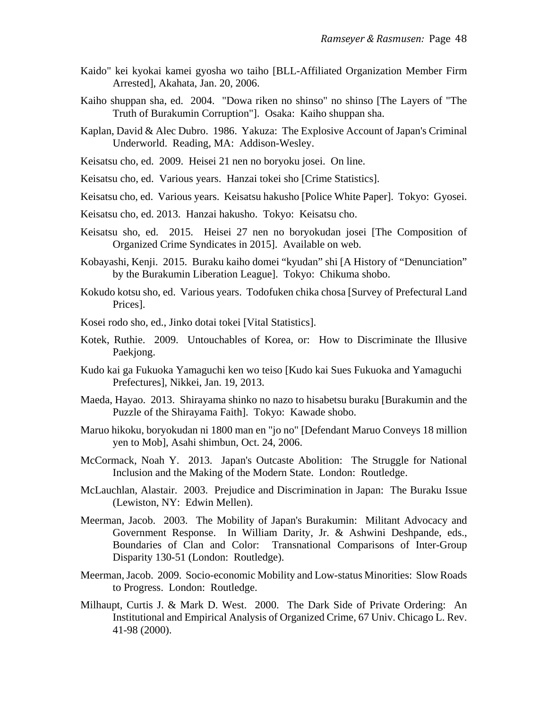- Kaido" kei kyokai kamei gyosha wo taiho [BLL-Affiliated Organization Member Firm Arrested], Akahata, Jan. 20, 2006.
- Kaiho shuppan sha, ed. 2004. "Dowa riken no shinso" no shinso [The Layers of "The Truth of Burakumin Corruption"]. Osaka: Kaiho shuppan sha.
- Kaplan, David & Alec Dubro. 1986. Yakuza: The Explosive Account of Japan's Criminal Underworld. Reading, MA: Addison-Wesley.
- Keisatsu cho, ed. 2009. Heisei 21 nen no boryoku josei. On line.
- Keisatsu cho, ed. Various years. Hanzai tokei sho [Crime Statistics].
- Keisatsu cho, ed. Various years. Keisatsu hakusho [Police White Paper]. Tokyo: Gyosei.
- Keisatsu cho, ed. 2013. Hanzai hakusho. Tokyo: Keisatsu cho.
- Keisatsu sho, ed. 2015. Heisei 27 nen no boryokudan josei [The Composition of Organized Crime Syndicates in 2015]. Available on web.
- Kobayashi, Kenji. 2015. Buraku kaiho domei "kyudan" shi [A History of "Denunciation" by the Burakumin Liberation League]. Tokyo: Chikuma shobo.
- Kokudo kotsu sho, ed. Various years. Todofuken chika chosa [Survey of Prefectural Land Prices].
- Kosei rodo sho, ed., Jinko dotai tokei [Vital Statistics].
- Kotek, Ruthie. 2009. Untouchables of Korea, or: How to Discriminate the Illusive Paekjong.
- Kudo kai ga Fukuoka Yamaguchi ken wo teiso [Kudo kai Sues Fukuoka and Yamaguchi Prefectures], Nikkei, Jan. 19, 2013.
- Maeda, Hayao. 2013. Shirayama shinko no nazo to hisabetsu buraku [Burakumin and the Puzzle of the Shirayama Faith]. Tokyo: Kawade shobo.
- Maruo hikoku, boryokudan ni 1800 man en "jo no" [Defendant Maruo Conveys 18 million yen to Mob], Asahi shimbun, Oct. 24, 2006.
- McCormack, Noah Y. 2013. Japan's Outcaste Abolition: The Struggle for National Inclusion and the Making of the Modern State. London: Routledge.
- McLauchlan, Alastair. 2003. Prejudice and Discrimination in Japan: The Buraku Issue (Lewiston, NY: Edwin Mellen).
- Meerman, Jacob. 2003. The Mobility of Japan's Burakumin: Militant Advocacy and Government Response. In William Darity, Jr. & Ashwini Deshpande, eds., Boundaries of Clan and Color: Transnational Comparisons of Inter-Group Disparity 130-51 (London: Routledge).
- Meerman, Jacob. 2009. Socio-economic Mobility and Low-status Minorities: Slow Roads to Progress. London: Routledge.
- Milhaupt, Curtis J. & Mark D. West. 2000. The Dark Side of Private Ordering: An Institutional and Empirical Analysis of Organized Crime, 67 Univ. Chicago L. Rev. 41-98 (2000).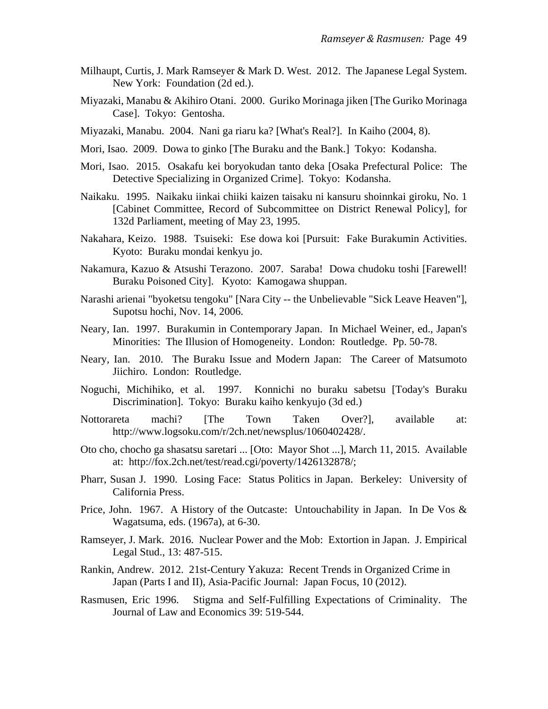- Milhaupt, Curtis, J. Mark Ramseyer & Mark D. West. 2012. The Japanese Legal System. New York: Foundation (2d ed.).
- Miyazaki, Manabu & Akihiro Otani. 2000. Guriko Morinaga jiken [The Guriko Morinaga Case]. Tokyo: Gentosha.
- Miyazaki, Manabu. 2004. Nani ga riaru ka? [What's Real?]. In Kaiho (2004, 8).
- Mori, Isao. 2009. Dowa to ginko [The Buraku and the Bank.] Tokyo: Kodansha.
- Mori, Isao. 2015. Osakafu kei boryokudan tanto deka [Osaka Prefectural Police: The Detective Specializing in Organized Crime]. Tokyo: Kodansha.
- Naikaku. 1995. Naikaku iinkai chiiki kaizen taisaku ni kansuru shoinnkai giroku, No. 1 [Cabinet Committee, Record of Subcommittee on District Renewal Policy], for 132d Parliament, meeting of May 23, 1995.
- Nakahara, Keizo. 1988. Tsuiseki: Ese dowa koi [Pursuit: Fake Burakumin Activities. Kyoto: Buraku mondai kenkyu jo.
- Nakamura, Kazuo & Atsushi Terazono. 2007. Saraba! Dowa chudoku toshi [Farewell! Buraku Poisoned City]. Kyoto: Kamogawa shuppan.
- Narashi arienai "byoketsu tengoku" [Nara City -- the Unbelievable "Sick Leave Heaven"], Supotsu hochi, Nov. 14, 2006.
- Neary, Ian. 1997. Burakumin in Contemporary Japan. In Michael Weiner, ed., Japan's Minorities: The Illusion of Homogeneity. London: Routledge. Pp. 50-78.
- Neary, Ian. 2010. The Buraku Issue and Modern Japan: The Career of Matsumoto Jiichiro. London: Routledge.
- Noguchi, Michihiko, et al. 1997. Konnichi no buraku sabetsu [Today's Buraku Discrimination]. Tokyo: Buraku kaiho kenkyujo (3d ed.)
- Nottorareta machi? [The Town Taken Over?], available at: http://www.logsoku.com/r/2ch.net/newsplus/1060402428/.
- Oto cho, chocho ga shasatsu saretari ... [Oto: Mayor Shot ...], March 11, 2015. Available at: http://fox.2ch.net/test/read.cgi/poverty/1426132878/;
- Pharr, Susan J. 1990. Losing Face: Status Politics in Japan. Berkeley: University of California Press.
- Price, John. 1967. A History of the Outcaste: Untouchability in Japan. In De Vos & Wagatsuma, eds. (1967a), at 6-30.
- Ramseyer, J. Mark. 2016. Nuclear Power and the Mob: Extortion in Japan. J. Empirical Legal Stud., 13: 487-515.
- Rankin, Andrew. 2012. 21st-Century Yakuza: Recent Trends in Organized Crime in Japan (Parts I and II), Asia-Pacific Journal: Japan Focus, 10 (2012).
- Rasmusen, Eric 1996. Stigma and Self-Fulfilling Expectations of Criminality. The Journal of Law and Economics 39: 519-544.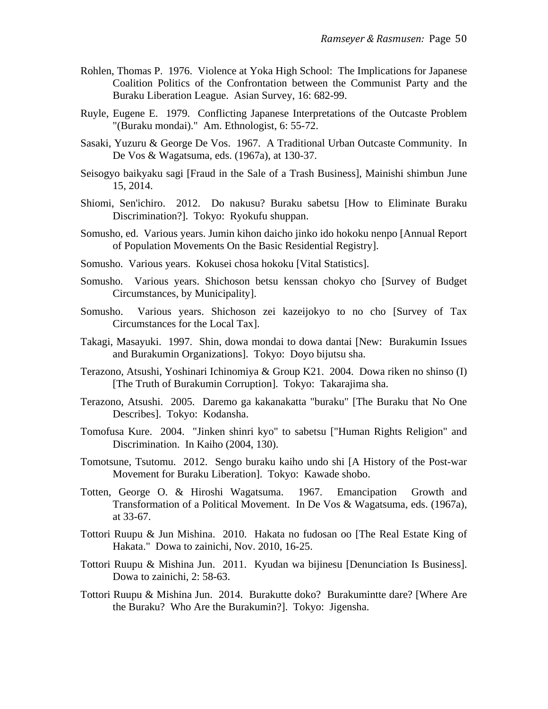- Rohlen, Thomas P. 1976. Violence at Yoka High School: The Implications for Japanese Coalition Politics of the Confrontation between the Communist Party and the Buraku Liberation League. Asian Survey, 16: 682-99.
- Ruyle, Eugene E. 1979. Conflicting Japanese Interpretations of the Outcaste Problem "(Buraku mondai)." Am. Ethnologist, 6: 55-72.
- Sasaki, Yuzuru & George De Vos. 1967. A Traditional Urban Outcaste Community. In De Vos & Wagatsuma, eds. (1967a), at 130-37.
- Seisogyo baikyaku sagi [Fraud in the Sale of a Trash Business], Mainishi shimbun June 15, 2014.
- Shiomi, Sen'ichiro. 2012. Do nakusu? Buraku sabetsu [How to Eliminate Buraku Discrimination?]. Tokyo: Ryokufu shuppan.
- Somusho, ed. Various years. Jumin kihon daicho jinko ido hokoku nenpo [Annual Report of Population Movements On the Basic Residential Registry].
- Somusho. Various years. Kokusei chosa hokoku [Vital Statistics].
- Somusho. Various years. Shichoson betsu kenssan chokyo cho [Survey of Budget Circumstances, by Municipality].
- Somusho. Various years. Shichoson zei kazeijokyo to no cho [Survey of Tax Circumstances for the Local Tax].
- Takagi, Masayuki. 1997. Shin, dowa mondai to dowa dantai [New: Burakumin Issues and Burakumin Organizations]. Tokyo: Doyo bijutsu sha.
- Terazono, Atsushi, Yoshinari Ichinomiya & Group K21. 2004. Dowa riken no shinso (I) [The Truth of Burakumin Corruption]. Tokyo: Takarajima sha.
- Terazono, Atsushi. 2005. Daremo ga kakanakatta "buraku" [The Buraku that No One Describes]. Tokyo: Kodansha.
- Tomofusa Kure. 2004. "Jinken shinri kyo" to sabetsu ["Human Rights Religion" and Discrimination. In Kaiho (2004, 130).
- Tomotsune, Tsutomu. 2012. Sengo buraku kaiho undo shi [A History of the Post-war Movement for Buraku Liberation]. Tokyo: Kawade shobo.
- Totten, George O. & Hiroshi Wagatsuma. 1967. Emancipation Growth and Transformation of a Political Movement. In De Vos & Wagatsuma, eds. (1967a), at 33-67.
- Tottori Ruupu & Jun Mishina. 2010. Hakata no fudosan oo [The Real Estate King of Hakata." Dowa to zainichi, Nov. 2010, 16-25.
- Tottori Ruupu & Mishina Jun. 2011. Kyudan wa bijinesu [Denunciation Is Business]. Dowa to zainichi, 2: 58-63.
- Tottori Ruupu & Mishina Jun. 2014. Burakutte doko? Burakumintte dare? [Where Are the Buraku? Who Are the Burakumin?]. Tokyo: Jigensha.